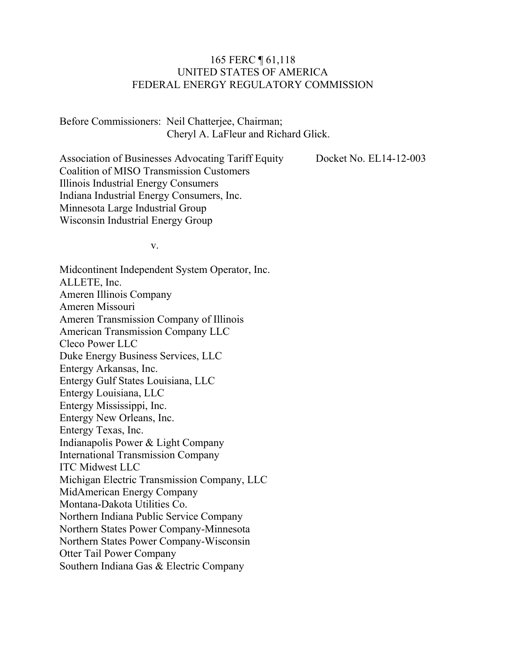#### 165 FERC ¶ 61,118 UNITED STATES OF AMERICA FEDERAL ENERGY REGULATORY COMMISSION

Before Commissioners: Neil Chatterjee, Chairman; Cheryl A. LaFleur and Richard Glick.

Association of Businesses Advocating Tariff Equity Coalition of MISO Transmission Customers Illinois Industrial Energy Consumers Indiana Industrial Energy Consumers, Inc. Minnesota Large Industrial Group Wisconsin Industrial Energy Group

Docket No. EL14-12-003

v.

Midcontinent Independent System Operator, Inc. ALLETE, Inc. Ameren Illinois Company Ameren Missouri Ameren Transmission Company of Illinois American Transmission Company LLC Cleco Power LLC Duke Energy Business Services, LLC Entergy Arkansas, Inc. Entergy Gulf States Louisiana, LLC Entergy Louisiana, LLC Entergy Mississippi, Inc. Entergy New Orleans, Inc. Entergy Texas, Inc. Indianapolis Power & Light Company International Transmission Company ITC Midwest LLC Michigan Electric Transmission Company, LLC MidAmerican Energy Company Montana-Dakota Utilities Co. Northern Indiana Public Service Company Northern States Power Company-Minnesota Northern States Power Company-Wisconsin Otter Tail Power Company Southern Indiana Gas & Electric Company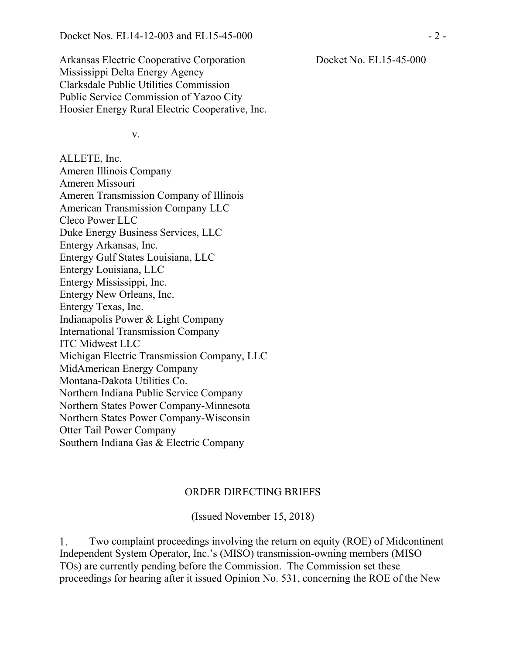Arkansas Electric Cooperative Corporation Mississippi Delta Energy Agency Clarksdale Public Utilities Commission Public Service Commission of Yazoo City Hoosier Energy Rural Electric Cooperative, Inc.

v.

ALLETE, Inc. Ameren Illinois Company Ameren Missouri Ameren Transmission Company of Illinois American Transmission Company LLC Cleco Power LLC Duke Energy Business Services, LLC Entergy Arkansas, Inc. Entergy Gulf States Louisiana, LLC Entergy Louisiana, LLC Entergy Mississippi, Inc. Entergy New Orleans, Inc. Entergy Texas, Inc. Indianapolis Power & Light Company International Transmission Company ITC Midwest LLC Michigan Electric Transmission Company, LLC MidAmerican Energy Company Montana-Dakota Utilities Co. Northern Indiana Public Service Company Northern States Power Company-Minnesota Northern States Power Company-Wisconsin Otter Tail Power Company Southern Indiana Gas & Electric Company

#### ORDER DIRECTING BRIEFS

(Issued November 15, 2018)

1. Two complaint proceedings involving the return on equity (ROE) of Midcontinent Independent System Operator, Inc.'s (MISO) transmission-owning members (MISO TOs) are currently pending before the Commission. The Commission set these proceedings for hearing after it issued Opinion No. 531, concerning the ROE of the New

Docket No. EL15-45-000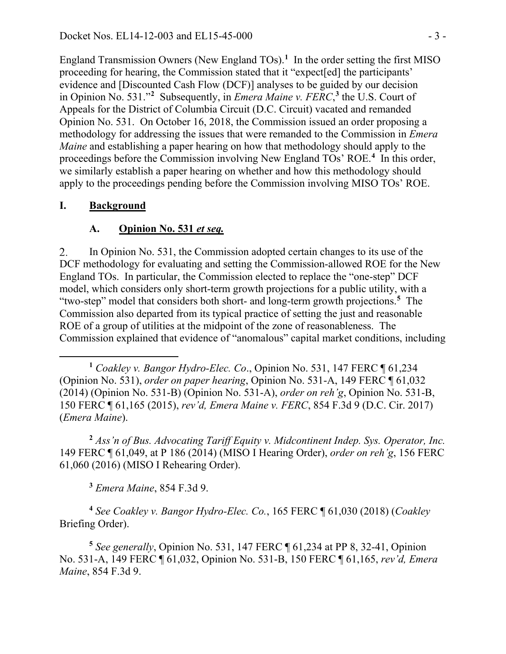England Transmission Owners (New England TOs).<sup>[1](#page-2-0)</sup> In the order setting the first MISO proceeding for hearing, the Commission stated that it "expect[ed] the participants' evidence and [Discounted Cash Flow (DCF)] analyses to be guided by our decision in Opinion No. 531."**[2](#page-2-1)** Subsequently, in *Emera Maine v. FERC*, **[3](#page-2-2)** the U.S. Court of Appeals for the District of Columbia Circuit (D.C. Circuit) vacated and remanded Opinion No. 531. On October 16, 2018, the Commission issued an order proposing a methodology for addressing the issues that were remanded to the Commission in *Emera Maine* and establishing a paper hearing on how that methodology should apply to the proceedings before the Commission involving New England TOs' ROE.**[4](#page-2-3)** In this order, we similarly establish a paper hearing on whether and how this methodology should apply to the proceedings pending before the Commission involving MISO TOs' ROE.

## **I. Background**

## **A. Opinion No. 531** *et seq.*

In Opinion No. 531, the Commission adopted certain changes to its use of the 2. DCF methodology for evaluating and setting the Commission-allowed ROE for the New England TOs. In particular, the Commission elected to replace the "one-step" DCF model, which considers only short-term growth projections for a public utility, with a "two-step" model that considers both short- and long-term growth projections.**[5](#page-2-4)** The Commission also departed from its typical practice of setting the just and reasonable ROE of a group of utilities at the midpoint of the zone of reasonableness. The Commission explained that evidence of "anomalous" capital market conditions, including

<span id="page-2-0"></span> $\overline{a}$ **<sup>1</sup>** *Coakley v. Bangor Hydro-Elec. Co*., Opinion No. 531, 147 FERC ¶ 61,234 (Opinion No. 531), *order on paper hearing*, Opinion No. 531-A, 149 FERC ¶ 61,032 (2014) (Opinion No. 531-B) (Opinion No. 531-A), *order on reh'g*, Opinion No. 531-B, 150 FERC ¶ 61,165 (2015), *rev'd, Emera Maine v. FERC*, 854 F.3d 9 (D.C. Cir. 2017) (*Emera Maine*).

<span id="page-2-1"></span>**<sup>2</sup>** *Ass'n of Bus. Advocating Tariff Equity v. Midcontinent Indep. Sys. Operator, Inc.*  149 FERC ¶ 61,049, at P 186 (2014) (MISO I Hearing Order), *order on reh'g*, 156 FERC 61,060 (2016) (MISO I Rehearing Order).

**<sup>3</sup>** *Emera Maine*, 854 F.3d 9.

<span id="page-2-3"></span><span id="page-2-2"></span>**<sup>4</sup>** *See Coakley v. Bangor Hydro-Elec. Co.*, 165 FERC ¶ 61,030 (2018) (*Coakley* Briefing Order).

<span id="page-2-4"></span>**<sup>5</sup>** *See generally*, Opinion No. 531, 147 FERC ¶ 61,234 at PP 8, 32-41, Opinion No. 531-A, 149 FERC ¶ 61,032, Opinion No. 531-B, 150 FERC ¶ 61,165, *rev'd, Emera Maine*, 854 F.3d 9.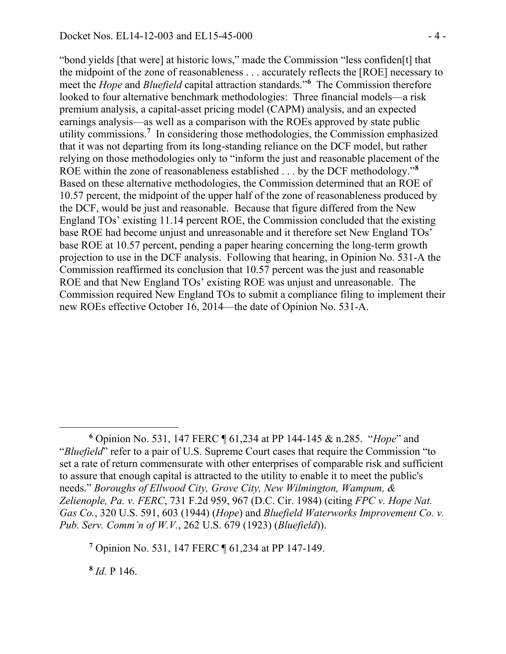"bond yields [that were] at historic lows," made the Commission "less confiden[t] that the midpoint of the zone of reasonableness . . . accurately reflects the [ROE] necessary to meet the *Hope* and *Bluefield* capital attraction standards."**[6](#page-3-0)** The Commission therefore looked to four alternative benchmark methodologies: Three financial models—a risk premium analysis, a capital-asset pricing model (CAPM) analysis, and an expected earnings analysis—as well as a comparison with the ROEs approved by state public utility commissions.**[7](#page-3-1)** In considering those methodologies, the Commission emphasized that it was not departing from its long-standing reliance on the DCF model, but rather relying on those methodologies only to "inform the just and reasonable placement of the ROE within the zone of reasonableness established . . . by the DCF methodology."**[8](#page-3-2)** Based on these alternative methodologies, the Commission determined that an ROE of 10.57 percent, the midpoint of the upper half of the zone of reasonableness produced by the DCF, would be just and reasonable. Because that figure differed from the New England TOs' existing 11.14 percent ROE, the Commission concluded that the existing base ROE had become unjust and unreasonable and it therefore set New England TOs' base ROE at 10.57 percent, pending a paper hearing concerning the long-term growth projection to use in the DCF analysis. Following that hearing, in Opinion No. 531-A the Commission reaffirmed its conclusion that 10.57 percent was the just and reasonable ROE and that New England TOs' existing ROE was unjust and unreasonable. The Commission required New England TOs to submit a compliance filing to implement their new ROEs effective October 16, 2014—the date of Opinion No. 531-A.

<span id="page-3-2"></span>**<sup>8</sup>** *Id.* P 146.

<span id="page-3-0"></span> $\overline{a}$ **<sup>6</sup>** Opinion No. 531, 147 FERC ¶ 61,234 at PP 144-145 & n.285. "*Hope*" and "*Bluefield*" refer to a pair of U.S. Supreme Court cases that require the Commission "to set a rate of return commensurate with other enterprises of comparable risk and sufficient to assure that enough capital is attracted to the utility to enable it to meet the public's needs." *Boroughs of Ellwood City, Grove City, New Wilmington, Wampum, & Zelienople, Pa. v. FERC*, 731 F.2d 959, 967 (D.C. Cir. 1984) (citing *FPC v. Hope Nat. Gas Co.*, 320 U.S. 591, 603 (1944) (*Hope*) and *Bluefield Waterworks Improvement Co. v. Pub. Serv. Comm'n of W.V.*, 262 U.S. 679 (1923) (*Bluefield*)).

<span id="page-3-1"></span>**<sup>7</sup>** Opinion No. 531, 147 FERC ¶ 61,234 at PP 147-149.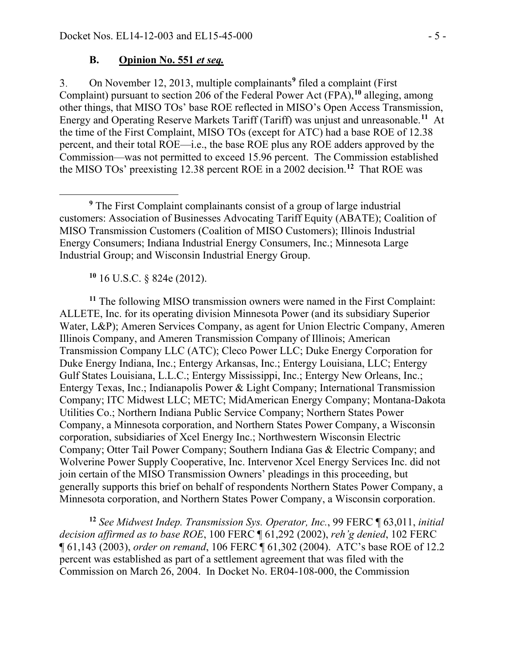#### **B. Opinion No. 551** *et seq.*

On November 12, 2013, multiple complainants**[9](#page-4-0)** filed a complaint (First 3. Complaint) pursuant to section 206 of the Federal Power Act (FPA), **[10](#page-4-1)** alleging, among other things, that MISO TOs' base ROE reflected in MISO's Open Access Transmission, Energy and Operating Reserve Markets Tariff (Tariff) was unjust and unreasonable. **[11](#page-4-2)** At the time of the First Complaint, MISO TOs (except for ATC) had a base ROE of 12.38 percent, and their total ROE—i.e., the base ROE plus any ROE adders approved by the Commission—was not permitted to exceed 15.96 percent. The Commission established the MISO TOs' preexisting 12.38 percent ROE in a 2002 decision.**[12](#page-4-3)** That ROE was

**<sup>10</sup>** 16 U.S.C. § 824e (2012).

 $\overline{a}$ 

<span id="page-4-2"></span><span id="page-4-1"></span>**<sup>11</sup>** The following MISO transmission owners were named in the First Complaint: ALLETE, Inc. for its operating division Minnesota Power (and its subsidiary Superior Water, L&P); Ameren Services Company, as agent for Union Electric Company, Ameren Illinois Company, and Ameren Transmission Company of Illinois; American Transmission Company LLC (ATC); Cleco Power LLC; Duke Energy Corporation for Duke Energy Indiana, Inc.; Entergy Arkansas, Inc.; Entergy Louisiana, LLC; Entergy Gulf States Louisiana, L.L.C.; Entergy Mississippi, Inc.; Entergy New Orleans, Inc.; Entergy Texas, Inc.; Indianapolis Power & Light Company; International Transmission Company; ITC Midwest LLC; METC; MidAmerican Energy Company; Montana-Dakota Utilities Co.; Northern Indiana Public Service Company; Northern States Power Company, a Minnesota corporation, and Northern States Power Company, a Wisconsin corporation, subsidiaries of Xcel Energy Inc.; Northwestern Wisconsin Electric Company; Otter Tail Power Company; Southern Indiana Gas & Electric Company; and Wolverine Power Supply Cooperative, Inc. Intervenor Xcel Energy Services Inc. did not join certain of the MISO Transmission Owners' pleadings in this proceeding, but generally supports this brief on behalf of respondents Northern States Power Company, a Minnesota corporation, and Northern States Power Company, a Wisconsin corporation.

<span id="page-4-3"></span>**<sup>12</sup>** *See Midwest Indep. Transmission Sys. Operator, Inc.*, 99 FERC ¶ 63,011, *initial decision affirmed as to base ROE*, 100 FERC ¶ 61,292 (2002), *reh'g denied*, 102 FERC ¶ 61,143 (2003), *order on remand*, 106 FERC ¶ 61,302 (2004). ATC's base ROE of 12.2 percent was established as part of a settlement agreement that was filed with the Commission on March 26, 2004. In Docket No. ER04-108-000, the Commission

<span id="page-4-0"></span>**<sup>9</sup>** The First Complaint complainants consist of a group of large industrial customers: Association of Businesses Advocating Tariff Equity (ABATE); Coalition of MISO Transmission Customers (Coalition of MISO Customers); Illinois Industrial Energy Consumers; Indiana Industrial Energy Consumers, Inc.; Minnesota Large Industrial Group; and Wisconsin Industrial Energy Group.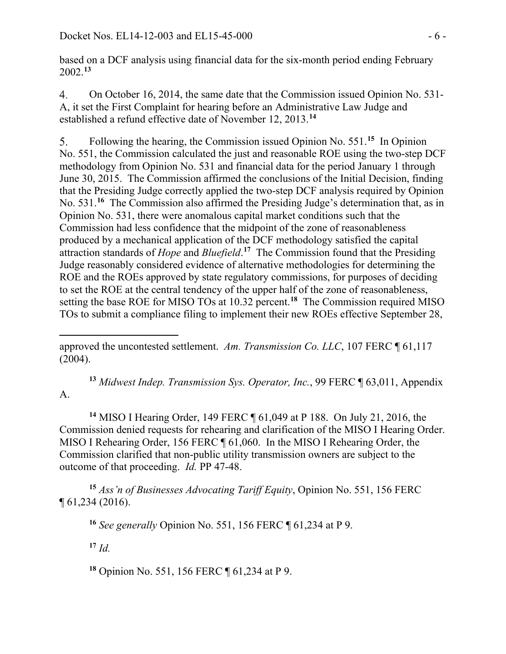based on a DCF analysis using financial data for the six-month period ending February 2002. **[13](#page-5-0)**

 $4.$ On October 16, 2014, the same date that the Commission issued Opinion No. 531- A, it set the First Complaint for hearing before an Administrative Law Judge and established a refund effective date of November 12, 2013.**[14](#page-5-1)**

Following the hearing, the Commission issued Opinion No. 551.**[15](#page-5-2)** In Opinion 5. No. 551, the Commission calculated the just and reasonable ROE using the two-step DCF methodology from Opinion No. 531 and financial data for the period January 1 through June 30, 2015. The Commission affirmed the conclusions of the Initial Decision, finding that the Presiding Judge correctly applied the two-step DCF analysis required by Opinion No. 531.<sup>[16](#page-5-3)</sup> The Commission also affirmed the Presiding Judge's determination that, as in Opinion No. 531, there were anomalous capital market conditions such that the Commission had less confidence that the midpoint of the zone of reasonableness produced by a mechanical application of the DCF methodology satisfied the capital attraction standards of *Hope* and *Bluefield*. **[17](#page-5-4)** The Commission found that the Presiding Judge reasonably considered evidence of alternative methodologies for determining the ROE and the ROEs approved by state regulatory commissions, for purposes of deciding to set the ROE at the central tendency of the upper half of the zone of reasonableness, setting the base ROE for MISO TOs at 10.32 percent. **[18](#page-5-5)** The Commission required MISO TOs to submit a compliance filing to implement their new ROEs effective September 28,

<span id="page-5-0"></span>**<sup>13</sup>** *Midwest Indep. Transmission Sys. Operator, Inc.*, 99 FERC ¶ 63,011, Appendix A.

<span id="page-5-1"></span>**<sup>14</sup>** MISO I Hearing Order, 149 FERC ¶ 61,049 at P 188. On July 21, 2016, the Commission denied requests for rehearing and clarification of the MISO I Hearing Order. MISO I Rehearing Order, 156 FERC ¶ 61,060. In the MISO I Rehearing Order, the Commission clarified that non-public utility transmission owners are subject to the outcome of that proceeding. *Id.* PP 47-48.

<span id="page-5-4"></span><span id="page-5-3"></span><span id="page-5-2"></span>**<sup>15</sup>** *Ass'n of Businesses Advocating Tariff Equity*, Opinion No. 551, 156 FERC ¶ 61,234 (2016).

**<sup>16</sup>** *See generally* Opinion No. 551, 156 FERC ¶ 61,234 at P 9.

**<sup>17</sup>** *Id.*

<span id="page-5-5"></span>**<sup>18</sup>** Opinion No. 551, 156 FERC ¶ 61,234 at P 9.

 $\overline{a}$ approved the uncontested settlement. *Am. Transmission Co. LLC*, 107 FERC ¶ 61,117 (2004).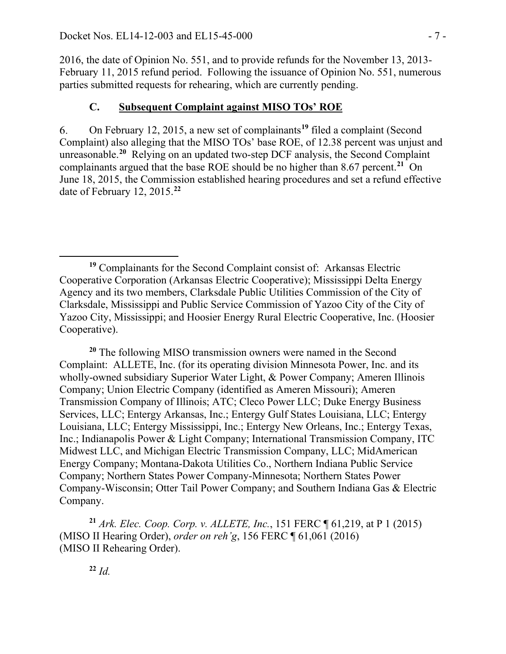2016, the date of Opinion No. 551, and to provide refunds for the November 13, 2013- February 11, 2015 refund period. Following the issuance of Opinion No. 551, numerous parties submitted requests for rehearing, which are currently pending.

### **C. Subsequent Complaint against MISO TOs' ROE**

On February 12, 2015, a new set of complainants**[19](#page-6-0)** filed a complaint (Second 6. Complaint) also alleging that the MISO TOs' base ROE, of 12.38 percent was unjust and unreasonable.**[20](#page-6-1)** Relying on an updated two-step DCF analysis, the Second Complaint complainants argued that the base ROE should be no higher than 8.67 percent.<sup>[21](#page-6-2)</sup> On June 18, 2015, the Commission established hearing procedures and set a refund effective date of February 12, 2015.**[22](#page-6-3)**

<span id="page-6-1"></span>**<sup>20</sup>** The following MISO transmission owners were named in the Second Complaint: ALLETE, Inc. (for its operating division Minnesota Power, Inc. and its wholly-owned subsidiary Superior Water Light, & Power Company; Ameren Illinois Company; Union Electric Company (identified as Ameren Missouri); Ameren Transmission Company of Illinois; ATC; Cleco Power LLC; Duke Energy Business Services, LLC; Entergy Arkansas, Inc.; Entergy Gulf States Louisiana, LLC; Entergy Louisiana, LLC; Entergy Mississippi, Inc.; Entergy New Orleans, Inc.; Entergy Texas, Inc.; Indianapolis Power & Light Company; International Transmission Company, ITC Midwest LLC, and Michigan Electric Transmission Company, LLC; MidAmerican Energy Company; Montana-Dakota Utilities Co., Northern Indiana Public Service Company; Northern States Power Company-Minnesota; Northern States Power Company-Wisconsin; Otter Tail Power Company; and Southern Indiana Gas & Electric Company.

<span id="page-6-3"></span><span id="page-6-2"></span>**<sup>21</sup>** *Ark. Elec. Coop. Corp. v. ALLETE, Inc.*, 151 FERC ¶ 61,219, at P 1 (2015) (MISO II Hearing Order), *order on reh'g*, 156 FERC ¶ 61,061 (2016) (MISO II Rehearing Order).

**<sup>22</sup>** *Id.*

<span id="page-6-0"></span> $\overline{a}$ **<sup>19</sup>** Complainants for the Second Complaint consist of: Arkansas Electric Cooperative Corporation (Arkansas Electric Cooperative); Mississippi Delta Energy Agency and its two members, Clarksdale Public Utilities Commission of the City of Clarksdale, Mississippi and Public Service Commission of Yazoo City of the City of Yazoo City, Mississippi; and Hoosier Energy Rural Electric Cooperative, Inc. (Hoosier Cooperative).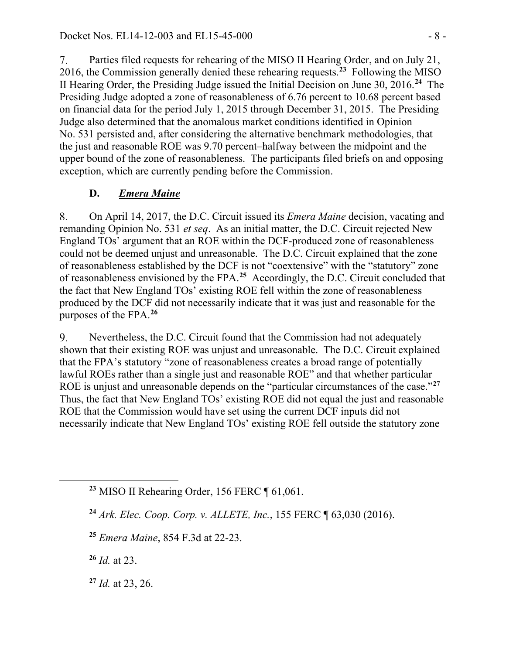Parties filed requests for rehearing of the MISO II Hearing Order, and on July 21, 7. 2016, the Commission generally denied these rehearing requests.**[23](#page-7-0)** Following the MISO II Hearing Order, the Presiding Judge issued the Initial Decision on June 30, 2016.**[24](#page-7-1)** The Presiding Judge adopted a zone of reasonableness of 6.76 percent to 10.68 percent based on financial data for the period July 1, 2015 through December 31, 2015. The Presiding Judge also determined that the anomalous market conditions identified in Opinion No. 531 persisted and, after considering the alternative benchmark methodologies, that the just and reasonable ROE was 9.70 percent–halfway between the midpoint and the upper bound of the zone of reasonableness. The participants filed briefs on and opposing exception, which are currently pending before the Commission.

## **D.** *Emera Maine*

On April 14, 2017, the D.C. Circuit issued its *Emera Maine* decision, vacating and 8. remanding Opinion No. 531 *et seq*. As an initial matter, the D.C. Circuit rejected New England TOs' argument that an ROE within the DCF-produced zone of reasonableness could not be deemed unjust and unreasonable. The D.C. Circuit explained that the zone of reasonableness established by the DCF is not "coextensive" with the "statutory" zone of reasonableness envisioned by the FPA.**[25](#page-7-2)** Accordingly, the D.C. Circuit concluded that the fact that New England TOs' existing ROE fell within the zone of reasonableness produced by the DCF did not necessarily indicate that it was just and reasonable for the purposes of the FPA.**[26](#page-7-3)**

Nevertheless, the D.C. Circuit found that the Commission had not adequately 9. shown that their existing ROE was unjust and unreasonable. The D.C. Circuit explained that the FPA's statutory "zone of reasonableness creates a broad range of potentially lawful ROEs rather than a single just and reasonable ROE" and that whether particular ROE is unjust and unreasonable depends on the "particular circumstances of the case."**[27](#page-7-4)** Thus, the fact that New England TOs' existing ROE did not equal the just and reasonable ROE that the Commission would have set using the current DCF inputs did not necessarily indicate that New England TOs' existing ROE fell outside the statutory zone

- **<sup>24</sup>** *Ark. Elec. Coop. Corp. v. ALLETE, Inc.*, 155 FERC ¶ 63,030 (2016).
- **<sup>25</sup>** *Emera Maine*, 854 F.3d at 22-23.

<span id="page-7-3"></span>**<sup>26</sup>** *Id.* at 23.

<span id="page-7-2"></span><span id="page-7-1"></span><span id="page-7-0"></span> $\overline{a}$ 

<span id="page-7-4"></span>**<sup>27</sup>** *Id.* at 23, 26.

**<sup>23</sup>** MISO II Rehearing Order, 156 FERC ¶ 61,061.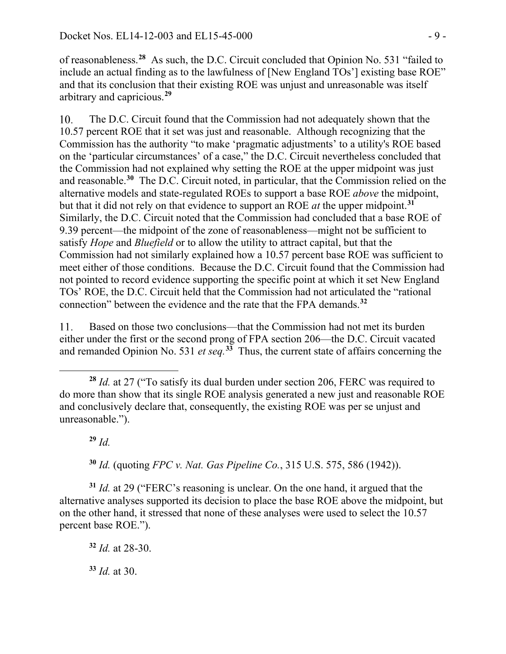of reasonableness.**[28](#page-8-0)** As such, the D.C. Circuit concluded that Opinion No. 531 "failed to include an actual finding as to the lawfulness of [New England TOs'] existing base ROE" and that its conclusion that their existing ROE was unjust and unreasonable was itself arbitrary and capricious.**[29](#page-8-1)**

The D.C. Circuit found that the Commission had not adequately shown that the  $10.$ 10.57 percent ROE that it set was just and reasonable. Although recognizing that the Commission has the authority "to make 'pragmatic adjustments' to a utility's ROE based on the 'particular circumstances' of a case," the D.C. Circuit nevertheless concluded that the Commission had not explained why setting the ROE at the upper midpoint was just and reasonable.**[30](#page-8-2)** The D.C. Circuit noted, in particular, that the Commission relied on the alternative models and state-regulated ROEs to support a base ROE *above* the midpoint, but that it did not rely on that evidence to support an ROE *at* the upper midpoint.**[31](#page-8-3)** Similarly, the D.C. Circuit noted that the Commission had concluded that a base ROE of 9.39 percent—the midpoint of the zone of reasonableness—might not be sufficient to satisfy *Hope* and *Bluefield* or to allow the utility to attract capital, but that the Commission had not similarly explained how a 10.57 percent base ROE was sufficient to meet either of those conditions. Because the D.C. Circuit found that the Commission had not pointed to record evidence supporting the specific point at which it set New England TOs' ROE, the D.C. Circuit held that the Commission had not articulated the "rational connection" between the evidence and the rate that the FPA demands.**[32](#page-8-4)**

11. Based on those two conclusions—that the Commission had not met its burden either under the first or the second prong of FPA section 206—the D.C. Circuit vacated and remanded Opinion No. 531 *et seq.*<sup>[33](#page-8-5)</sup> Thus, the current state of affairs concerning the

**<sup>29</sup>** *Id.*

**<sup>30</sup>** *Id.* (quoting *FPC v. Nat. Gas Pipeline Co.*, 315 U.S. 575, 586 (1942)).

<span id="page-8-4"></span><span id="page-8-3"></span><span id="page-8-2"></span><span id="page-8-1"></span>**<sup>31</sup>** *Id.* at 29 ("FERC's reasoning is unclear. On the one hand, it argued that the alternative analyses supported its decision to place the base ROE above the midpoint, but on the other hand, it stressed that none of these analyses were used to select the 10.57 percent base ROE.").

**<sup>32</sup>** *Id.* at 28-30.

<span id="page-8-5"></span>**<sup>33</sup>** *Id.* at 30.

<span id="page-8-0"></span> $\overline{a}$ **<sup>28</sup>** *Id.* at 27 ("To satisfy its dual burden under section 206, FERC was required to do more than show that its single ROE analysis generated a new just and reasonable ROE and conclusively declare that, consequently, the existing ROE was per se unjust and unreasonable.").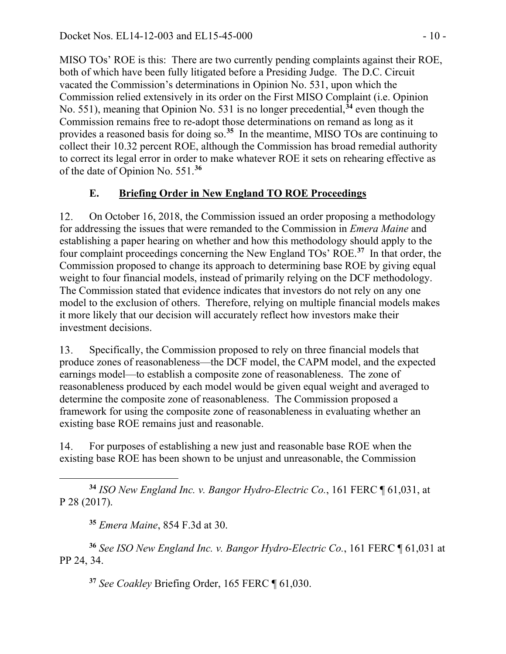MISO TOs' ROE is this: There are two currently pending complaints against their ROE, both of which have been fully litigated before a Presiding Judge. The D.C. Circuit vacated the Commission's determinations in Opinion No. 531, upon which the Commission relied extensively in its order on the First MISO Complaint (i.e. Opinion No. 551), meaning that Opinion No. 531 is no longer precedential,**[34](#page-9-0)** even though the Commission remains free to re-adopt those determinations on remand as long as it provides a reasoned basis for doing so. **[35](#page-9-1)** In the meantime, MISO TOs are continuing to collect their 10.32 percent ROE, although the Commission has broad remedial authority to correct its legal error in order to make whatever ROE it sets on rehearing effective as of the date of Opinion No. 551.**[36](#page-9-2)**

## **E. Briefing Order in New England TO ROE Proceedings**

12. On October 16, 2018, the Commission issued an order proposing a methodology for addressing the issues that were remanded to the Commission in *Emera Maine* and establishing a paper hearing on whether and how this methodology should apply to the four complaint proceedings concerning the New England TOs' ROE. **[37](#page-9-3)** In that order, the Commission proposed to change its approach to determining base ROE by giving equal weight to four financial models, instead of primarily relying on the DCF methodology. The Commission stated that evidence indicates that investors do not rely on any one model to the exclusion of others. Therefore, relying on multiple financial models makes it more likely that our decision will accurately reflect how investors make their investment decisions.

13. Specifically, the Commission proposed to rely on three financial models that produce zones of reasonableness—the DCF model, the CAPM model, and the expected earnings model—to establish a composite zone of reasonableness. The zone of reasonableness produced by each model would be given equal weight and averaged to determine the composite zone of reasonableness. The Commission proposed a framework for using the composite zone of reasonableness in evaluating whether an existing base ROE remains just and reasonable.

14. For purposes of establishing a new just and reasonable base ROE when the existing base ROE has been shown to be unjust and unreasonable, the Commission

<span id="page-9-0"></span> $\overline{a}$ **<sup>34</sup>** *ISO New England Inc. v. Bangor Hydro-Electric Co.*, 161 FERC ¶ 61,031, at P 28 (2017).

**<sup>35</sup>** *Emera Maine*, 854 F.3d at 30.

<span id="page-9-3"></span><span id="page-9-2"></span><span id="page-9-1"></span>**<sup>36</sup>** *See ISO New England Inc. v. Bangor Hydro-Electric Co.*, 161 FERC ¶ 61,031 at PP 24, 34.

**<sup>37</sup>** *See Coakley* Briefing Order, 165 FERC ¶ 61,030.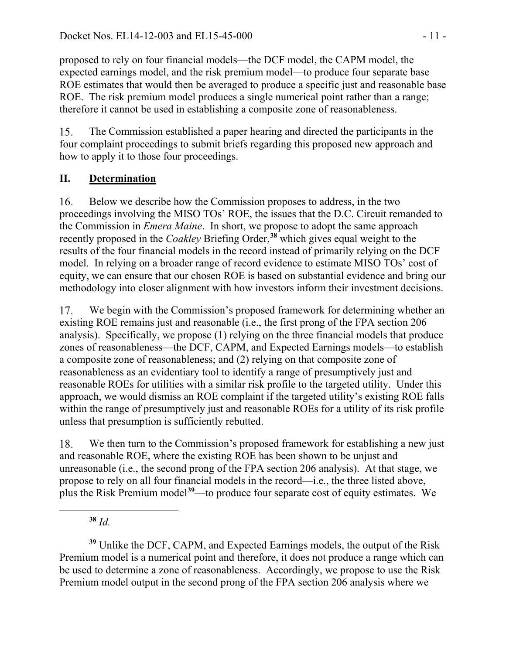proposed to rely on four financial models—the DCF model, the CAPM model, the expected earnings model, and the risk premium model—to produce four separate base ROE estimates that would then be averaged to produce a specific just and reasonable base ROE. The risk premium model produces a single numerical point rather than a range; therefore it cannot be used in establishing a composite zone of reasonableness.

15. The Commission established a paper hearing and directed the participants in the four complaint proceedings to submit briefs regarding this proposed new approach and how to apply it to those four proceedings.

# **II. Determination**

16. Below we describe how the Commission proposes to address, in the two proceedings involving the MISO TOs' ROE, the issues that the D.C. Circuit remanded to the Commission in *Emera Maine*. In short, we propose to adopt the same approach recently proposed in the *Coakley* Briefing Order, **[38](#page-10-0)** which gives equal weight to the results of the four financial models in the record instead of primarily relying on the DCF model. In relying on a broader range of record evidence to estimate MISO TOs' cost of equity, we can ensure that our chosen ROE is based on substantial evidence and bring our methodology into closer alignment with how investors inform their investment decisions.

We begin with the Commission's proposed framework for determining whether an 17. existing ROE remains just and reasonable (i.e., the first prong of the FPA section 206 analysis). Specifically, we propose (1) relying on the three financial models that produce zones of reasonableness—the DCF, CAPM, and Expected Earnings models—to establish a composite zone of reasonableness; and (2) relying on that composite zone of reasonableness as an evidentiary tool to identify a range of presumptively just and reasonable ROEs for utilities with a similar risk profile to the targeted utility. Under this approach, we would dismiss an ROE complaint if the targeted utility's existing ROE falls within the range of presumptively just and reasonable ROEs for a utility of its risk profile unless that presumption is sufficiently rebutted.

18. We then turn to the Commission's proposed framework for establishing a new just and reasonable ROE, where the existing ROE has been shown to be unjust and unreasonable (i.e., the second prong of the FPA section 206 analysis). At that stage, we propose to rely on all four financial models in the record—i.e., the three listed above, plus the Risk Premium model**[39](#page-10-1)**—to produce four separate cost of equity estimates. We

**<sup>38</sup>** *Id.*

<span id="page-10-0"></span> $\overline{a}$ 

<span id="page-10-1"></span>**<sup>39</sup>** Unlike the DCF, CAPM, and Expected Earnings models, the output of the Risk Premium model is a numerical point and therefore, it does not produce a range which can be used to determine a zone of reasonableness. Accordingly, we propose to use the Risk Premium model output in the second prong of the FPA section 206 analysis where we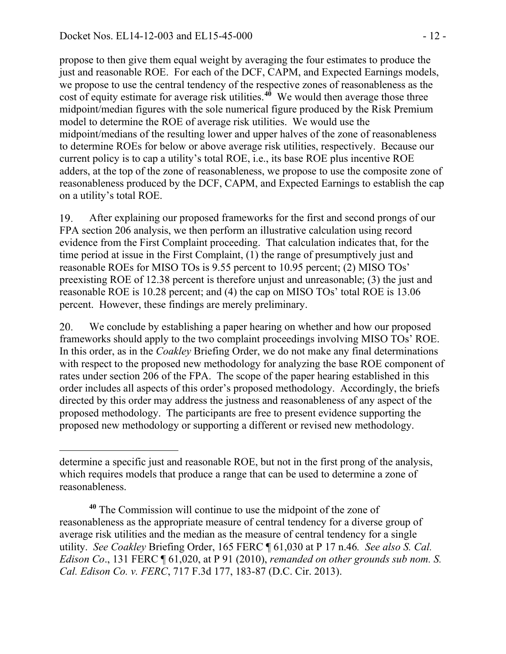<span id="page-11-1"></span>propose to then give them equal weight by averaging the four estimates to produce the just and reasonable ROE. For each of the DCF, CAPM, and Expected Earnings models, we propose to use the central tendency of the respective zones of reasonableness as the cost of equity estimate for average risk utilities.**[40](#page-11-0)** We would then average those three midpoint/median figures with the sole numerical figure produced by the Risk Premium model to determine the ROE of average risk utilities. We would use the midpoint/medians of the resulting lower and upper halves of the zone of reasonableness to determine ROEs for below or above average risk utilities, respectively. Because our current policy is to cap a utility's total ROE, i.e., its base ROE plus incentive ROE adders, at the top of the zone of reasonableness, we propose to use the composite zone of reasonableness produced by the DCF, CAPM, and Expected Earnings to establish the cap on a utility's total ROE.

19. After explaining our proposed frameworks for the first and second prongs of our FPA section 206 analysis, we then perform an illustrative calculation using record evidence from the First Complaint proceeding. That calculation indicates that, for the time period at issue in the First Complaint, (1) the range of presumptively just and reasonable ROEs for MISO TOs is 9.55 percent to 10.95 percent; (2) MISO TOs' preexisting ROE of 12.38 percent is therefore unjust and unreasonable; (3) the just and reasonable ROE is 10.28 percent; and (4) the cap on MISO TOs' total ROE is 13.06 percent. However, these findings are merely preliminary.

20. We conclude by establishing a paper hearing on whether and how our proposed frameworks should apply to the two complaint proceedings involving MISO TOs' ROE. In this order, as in the *Coakley* Briefing Order, we do not make any final determinations with respect to the proposed new methodology for analyzing the base ROE component of rates under section 206 of the FPA. The scope of the paper hearing established in this order includes all aspects of this order's proposed methodology. Accordingly, the briefs directed by this order may address the justness and reasonableness of any aspect of the proposed methodology. The participants are free to present evidence supporting the proposed new methodology or supporting a different or revised new methodology.

determine a specific just and reasonable ROE, but not in the first prong of the analysis, which requires models that produce a range that can be used to determine a zone of reasonableness.

<span id="page-11-0"></span>**<sup>40</sup>** The Commission will continue to use the midpoint of the zone of reasonableness as the appropriate measure of central tendency for a diverse group of average risk utilities and the median as the measure of central tendency for a single utility. *See Coakley* Briefing Order, 165 FERC ¶ 61,030 at P 17 n.46*. See also S. Cal. Edison Co*., 131 FERC ¶ 61,020, at P 91 (2010), *remanded on other grounds sub nom. S. Cal. Edison Co. v. FERC*, 717 F.3d 177, 183-87 (D.C. Cir. 2013).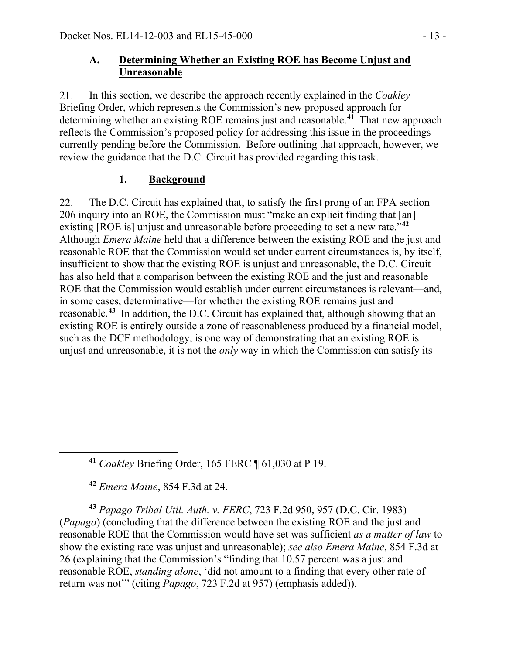### **A. Determining Whether an Existing ROE has Become Unjust and Unreasonable**

21. In this section, we describe the approach recently explained in the *Coakley* Briefing Order, which represents the Commission's new proposed approach for determining whether an existing ROE remains just and reasonable.**[41](#page-12-0)** That new approach reflects the Commission's proposed policy for addressing this issue in the proceedings currently pending before the Commission. Before outlining that approach, however, we review the guidance that the D.C. Circuit has provided regarding this task.

## **1. Background**

22. The D.C. Circuit has explained that, to satisfy the first prong of an FPA section 206 inquiry into an ROE, the Commission must "make an explicit finding that [an] existing [ROE is] unjust and unreasonable before proceeding to set a new rate."**[42](#page-12-1)** Although *Emera Maine* held that a difference between the existing ROE and the just and reasonable ROE that the Commission would set under current circumstances is, by itself, insufficient to show that the existing ROE is unjust and unreasonable, the D.C. Circuit has also held that a comparison between the existing ROE and the just and reasonable ROE that the Commission would establish under current circumstances is relevant—and, in some cases, determinative—for whether the existing ROE remains just and reasonable.**[43](#page-12-2)** In addition, the D.C. Circuit has explained that, although showing that an existing ROE is entirely outside a zone of reasonableness produced by a financial model, such as the DCF methodology, is one way of demonstrating that an existing ROE is unjust and unreasonable, it is not the *only* way in which the Commission can satisfy its

**<sup>41</sup>** *Coakley* Briefing Order, 165 FERC ¶ 61,030 at P 19.

**<sup>42</sup>** *Emera Maine*, 854 F.3d at 24.

<span id="page-12-0"></span> $\overline{a}$ 

<span id="page-12-2"></span><span id="page-12-1"></span>**<sup>43</sup>** *Papago Tribal Util. Auth. v. FERC*, 723 F.2d 950, 957 (D.C. Cir. 1983) (*Papago*) (concluding that the difference between the existing ROE and the just and reasonable ROE that the Commission would have set was sufficient *as a matter of law* to show the existing rate was unjust and unreasonable); *see also Emera Maine*, 854 F.3d at 26 (explaining that the Commission's "finding that 10.57 percent was a just and reasonable ROE, *standing alone*, 'did not amount to a finding that every other rate of return was not'" (citing *Papago*, 723 F.2d at 957) (emphasis added)).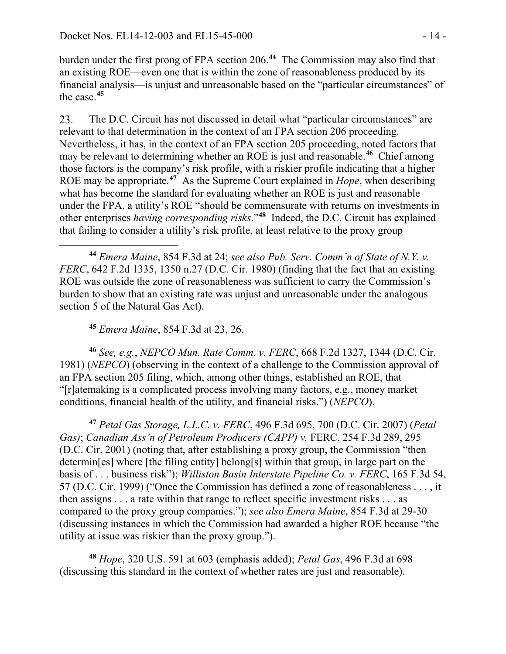burden under the first prong of FPA section 206.**[44](#page-13-0)** The Commission may also find that an existing ROE—even one that is within the zone of reasonableness produced by its financial analysis—is unjust and unreasonable based on the "particular circumstances" of the case.**[45](#page-13-1)**

The D.C. Circuit has not discussed in detail what "particular circumstances" are 23. relevant to that determination in the context of an FPA section 206 proceeding. Nevertheless, it has, in the context of an FPA section 205 proceeding, noted factors that may be relevant to determining whether an ROE is just and reasonable.**[46](#page-13-2)** Chief among those factors is the company's risk profile, with a riskier profile indicating that a higher ROE may be appropriate.**[47](#page-13-3)** As the Supreme Court explained in *Hope*, when describing what has become the standard for evaluating whether an ROE is just and reasonable under the FPA, a utility's ROE "should be commensurate with returns on investments in other enterprises *having corresponding risks*."**[48](#page-13-4)** Indeed, the D.C. Circuit has explained that failing to consider a utility's risk profile, at least relative to the proxy group

<span id="page-13-0"></span> $\overline{a}$ **<sup>44</sup>** *Emera Maine*, 854 F.3d at 24; *see also Pub. Serv. Comm'n of State of N.Y. v. FERC*, 642 F.2d 1335, 1350 n.27 (D.C. Cir. 1980) (finding that the fact that an existing ROE was outside the zone of reasonableness was sufficient to carry the Commission's burden to show that an existing rate was unjust and unreasonable under the analogous section 5 of the Natural Gas Act).

**<sup>45</sup>** *Emera Maine*, 854 F.3d at 23, 26.

<span id="page-13-2"></span><span id="page-13-1"></span>**<sup>46</sup>** *See, e.g.*, *NEPCO Mun. Rate Comm. v. FERC*, 668 F.2d 1327, 1344 (D.C. Cir. 1981) (*NEPCO*) (observing in the context of a challenge to the Commission approval of an FPA section 205 filing, which, among other things, established an ROE, that "[r]atemaking is a complicated process involving many factors, e.g., money market conditions, financial health of the utility, and financial risks.") (*NEPCO*).

<span id="page-13-3"></span>**<sup>47</sup>** *Petal Gas Storage, L.L.C. v. FERC*, 496 F.3d 695, 700 (D.C. Cir. 2007) (*Petal Gas)*; *Canadian Ass'n of Petroleum Producers (CAPP) v.* FERC, 254 F.3d 289, 295 (D.C. Cir. 2001) (noting that, after establishing a proxy group, the Commission "then determin[es] where [the filing entity] belong[s] within that group, in large part on the basis of . . . business risk"); *Williston Basin Interstate Pipeline Co. v. FERC*, 165 F.3d 54, 57 (D.C. Cir. 1999) ("Once the Commission has defined a zone of reasonableness . . . , it then assigns . . . a rate within that range to reflect specific investment risks . . . as compared to the proxy group companies."); *see also Emera Maine*, 854 F.3d at 29-30 (discussing instances in which the Commission had awarded a higher ROE because "the utility at issue was riskier than the proxy group.").

<span id="page-13-4"></span>**<sup>48</sup>** *Hope*, 320 U.S. 591 at 603 (emphasis added); *Petal Gas*, 496 F.3d at 698 (discussing this standard in the context of whether rates are just and reasonable).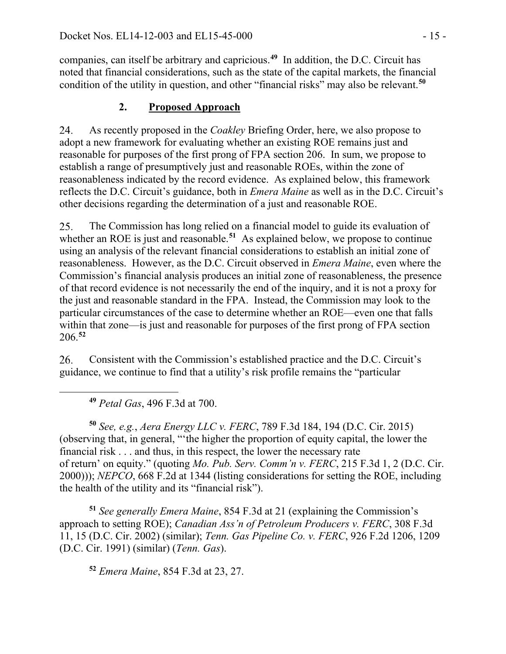companies, can itself be arbitrary and capricious.**[49](#page-14-0)** In addition, the D.C. Circuit has noted that financial considerations, such as the state of the capital markets, the financial condition of the utility in question, and other "financial risks" may also be relevant.**[50](#page-14-1)**

## **2. Proposed Approach**

24. As recently proposed in the *Coakley* Briefing Order, here, we also propose to adopt a new framework for evaluating whether an existing ROE remains just and reasonable for purposes of the first prong of FPA section 206. In sum, we propose to establish a range of presumptively just and reasonable ROEs, within the zone of reasonableness indicated by the record evidence. As explained below, this framework reflects the D.C. Circuit's guidance, both in *Emera Maine* as well as in the D.C. Circuit's other decisions regarding the determination of a just and reasonable ROE.

The Commission has long relied on a financial model to guide its evaluation of 25. whether an ROE is just and reasonable.<sup>[51](#page-14-2)</sup> As explained below, we propose to continue using an analysis of the relevant financial considerations to establish an initial zone of reasonableness. However, as the D.C. Circuit observed in *Emera Maine*, even where the Commission's financial analysis produces an initial zone of reasonableness, the presence of that record evidence is not necessarily the end of the inquiry, and it is not a proxy for the just and reasonable standard in the FPA. Instead, the Commission may look to the particular circumstances of the case to determine whether an ROE—even one that falls within that zone—is just and reasonable for purposes of the first prong of FPA section 206.**[52](#page-14-3)**

26. Consistent with the Commission's established practice and the D.C. Circuit's guidance, we continue to find that a utility's risk profile remains the "particular

**<sup>49</sup>** *Petal Gas*, 496 F.3d at 700.

<span id="page-14-0"></span> $\overline{a}$ 

<span id="page-14-1"></span>**<sup>50</sup>** *See, e.g.*, *Aera Energy LLC v. FERC*, 789 F.3d 184, 194 (D.C. Cir. 2015) (observing that, in general, "'the higher the proportion of equity capital, the lower the financial risk . . . and thus, in this respect, the lower the necessary rate of return' on equity." (quoting *Mo. Pub. Serv. Comm'n v. FERC*, 215 F.3d 1, 2 (D.C. Cir. 2000))); *NEPCO*, 668 F.2d at 1344 (listing considerations for setting the ROE, including the health of the utility and its "financial risk").

<span id="page-14-3"></span><span id="page-14-2"></span>**<sup>51</sup>** *See generally Emera Maine*, 854 F.3d at 21 (explaining the Commission's approach to setting ROE); *Canadian Ass'n of Petroleum Producers v. FERC*, 308 F.3d 11, 15 (D.C. Cir. 2002) (similar); *Tenn. Gas Pipeline Co. v. FERC*, 926 F.2d 1206, 1209 (D.C. Cir. 1991) (similar) (*Tenn. Gas*).

**<sup>52</sup>** *Emera Maine*, 854 F.3d at 23, 27.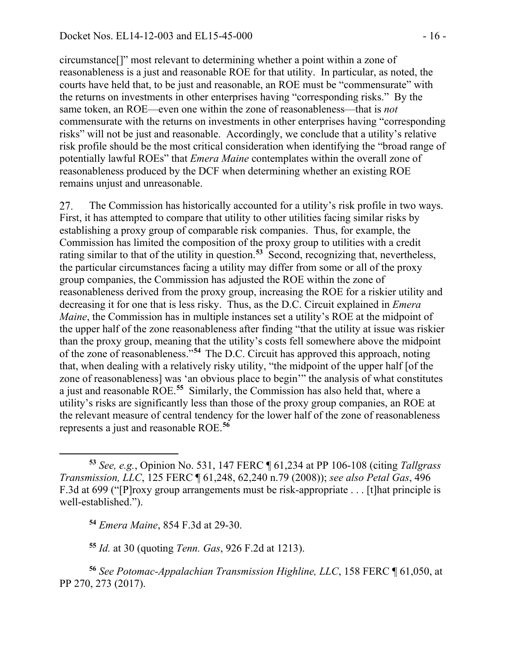circumstance[]" most relevant to determining whether a point within a zone of reasonableness is a just and reasonable ROE for that utility. In particular, as noted, the courts have held that, to be just and reasonable, an ROE must be "commensurate" with the returns on investments in other enterprises having "corresponding risks." By the same token, an ROE—even one within the zone of reasonableness—that is *not*  commensurate with the returns on investments in other enterprises having "corresponding risks" will not be just and reasonable. Accordingly, we conclude that a utility's relative risk profile should be the most critical consideration when identifying the "broad range of potentially lawful ROEs" that *Emera Maine* contemplates within the overall zone of reasonableness produced by the DCF when determining whether an existing ROE remains unjust and unreasonable.

27. The Commission has historically accounted for a utility's risk profile in two ways. First, it has attempted to compare that utility to other utilities facing similar risks by establishing a proxy group of comparable risk companies. Thus, for example, the Commission has limited the composition of the proxy group to utilities with a credit rating similar to that of the utility in question.**[53](#page-15-0)** Second, recognizing that, nevertheless, the particular circumstances facing a utility may differ from some or all of the proxy group companies, the Commission has adjusted the ROE within the zone of reasonableness derived from the proxy group, increasing the ROE for a riskier utility and decreasing it for one that is less risky. Thus, as the D.C. Circuit explained in *Emera Maine*, the Commission has in multiple instances set a utility's ROE at the midpoint of the upper half of the zone reasonableness after finding "that the utility at issue was riskier than the proxy group, meaning that the utility's costs fell somewhere above the midpoint of the zone of reasonableness."**[54](#page-15-1)** The D.C. Circuit has approved this approach, noting that, when dealing with a relatively risky utility, "the midpoint of the upper half [of the zone of reasonableness] was 'an obvious place to begin'" the analysis of what constitutes a just and reasonable ROE.**[55](#page-15-2)** Similarly, the Commission has also held that, where a utility's risks are significantly less than those of the proxy group companies, an ROE at the relevant measure of central tendency for the lower half of the zone of reasonableness represents a just and reasonable ROE.**[56](#page-15-3)**

**<sup>54</sup>** *Emera Maine*, 854 F.3d at 29-30.

 $\overline{a}$ 

**<sup>55</sup>** *Id.* at 30 (quoting *Tenn. Gas*, 926 F.2d at 1213).

<span id="page-15-3"></span><span id="page-15-2"></span><span id="page-15-1"></span>**<sup>56</sup>** *See Potomac-Appalachian Transmission Highline, LLC*, 158 FERC ¶ 61,050, at PP 270, 273 (2017).

<span id="page-15-0"></span>**<sup>53</sup>** *See, e.g.*, Opinion No. 531, 147 FERC ¶ 61,234 at PP 106-108 (citing *Tallgrass Transmission, LLC*, 125 FERC ¶ 61,248, 62,240 n.79 (2008)); *see also Petal Gas*, 496 F.3d at 699 ("[P]roxy group arrangements must be risk-appropriate . . . [t]hat principle is well-established.").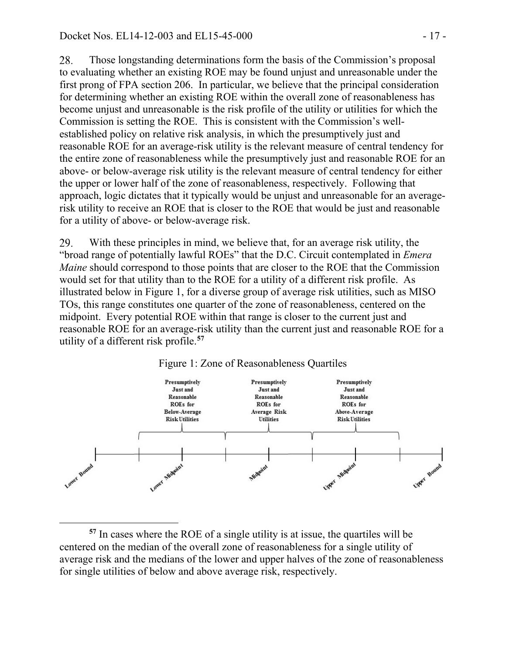Those longstanding determinations form the basis of the Commission's proposal 28. to evaluating whether an existing ROE may be found unjust and unreasonable under the first prong of FPA section 206. In particular, we believe that the principal consideration for determining whether an existing ROE within the overall zone of reasonableness has become unjust and unreasonable is the risk profile of the utility or utilities for which the Commission is setting the ROE. This is consistent with the Commission's wellestablished policy on relative risk analysis, in which the presumptively just and reasonable ROE for an average-risk utility is the relevant measure of central tendency for the entire zone of reasonableness while the presumptively just and reasonable ROE for an above- or below-average risk utility is the relevant measure of central tendency for either the upper or lower half of the zone of reasonableness, respectively. Following that approach, logic dictates that it typically would be unjust and unreasonable for an averagerisk utility to receive an ROE that is closer to the ROE that would be just and reasonable for a utility of above- or below-average risk.

29. With these principles in mind, we believe that, for an average risk utility, the "broad range of potentially lawful ROEs" that the D.C. Circuit contemplated in *Emera Maine* should correspond to those points that are closer to the ROE that the Commission would set for that utility than to the ROE for a utility of a different risk profile. As illustrated below in Figure 1, for a diverse group of average risk utilities, such as MISO TOs, this range constitutes one quarter of the zone of reasonableness, centered on the midpoint. Every potential ROE within that range is closer to the current just and reasonable ROE for an average-risk utility than the current just and reasonable ROE for a utility of a different risk profile.**[57](#page-16-0)**





<span id="page-16-0"></span> $\overline{a}$ **<sup>57</sup>** In cases where the ROE of a single utility is at issue, the quartiles will be centered on the median of the overall zone of reasonableness for a single utility of average risk and the medians of the lower and upper halves of the zone of reasonableness for single utilities of below and above average risk, respectively.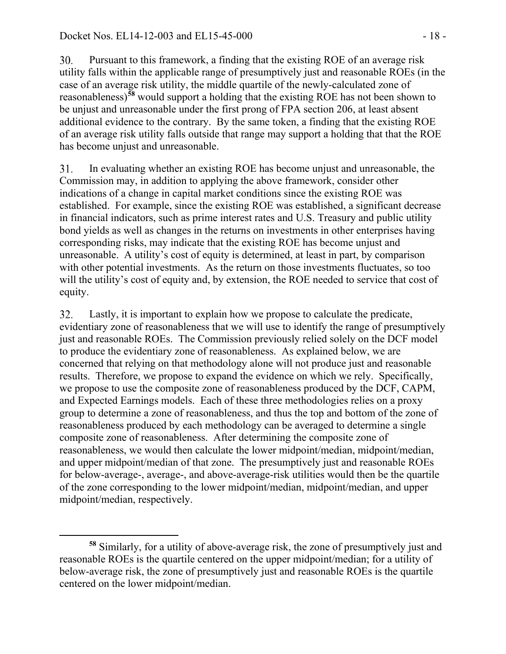Pursuant to this framework, a finding that the existing ROE of an average risk 30. utility falls within the applicable range of presumptively just and reasonable ROEs (in the case of an average risk utility, the middle quartile of the newly-calculated zone of reasonableness)**[58](#page-17-0)** would support a holding that the existing ROE has not been shown to be unjust and unreasonable under the first prong of FPA section 206, at least absent additional evidence to the contrary. By the same token, a finding that the existing ROE of an average risk utility falls outside that range may support a holding that that the ROE has become unjust and unreasonable.

31. In evaluating whether an existing ROE has become unjust and unreasonable, the Commission may, in addition to applying the above framework, consider other indications of a change in capital market conditions since the existing ROE was established. For example, since the existing ROE was established, a significant decrease in financial indicators, such as prime interest rates and U.S. Treasury and public utility bond yields as well as changes in the returns on investments in other enterprises having corresponding risks, may indicate that the existing ROE has become unjust and unreasonable. A utility's cost of equity is determined, at least in part, by comparison with other potential investments. As the return on those investments fluctuates, so too will the utility's cost of equity and, by extension, the ROE needed to service that cost of equity.

Lastly, it is important to explain how we propose to calculate the predicate, 32. evidentiary zone of reasonableness that we will use to identify the range of presumptively just and reasonable ROEs. The Commission previously relied solely on the DCF model to produce the evidentiary zone of reasonableness. As explained below, we are concerned that relying on that methodology alone will not produce just and reasonable results. Therefore, we propose to expand the evidence on which we rely. Specifically, we propose to use the composite zone of reasonableness produced by the DCF, CAPM, and Expected Earnings models. Each of these three methodologies relies on a proxy group to determine a zone of reasonableness, and thus the top and bottom of the zone of reasonableness produced by each methodology can be averaged to determine a single composite zone of reasonableness. After determining the composite zone of reasonableness, we would then calculate the lower midpoint/median, midpoint/median, and upper midpoint/median of that zone. The presumptively just and reasonable ROEs for below-average-, average-, and above-average-risk utilities would then be the quartile of the zone corresponding to the lower midpoint/median, midpoint/median, and upper midpoint/median, respectively.

<span id="page-17-0"></span> $\overline{a}$ **<sup>58</sup>** Similarly, for a utility of above-average risk, the zone of presumptively just and reasonable ROEs is the quartile centered on the upper midpoint/median; for a utility of below-average risk, the zone of presumptively just and reasonable ROEs is the quartile centered on the lower midpoint/median.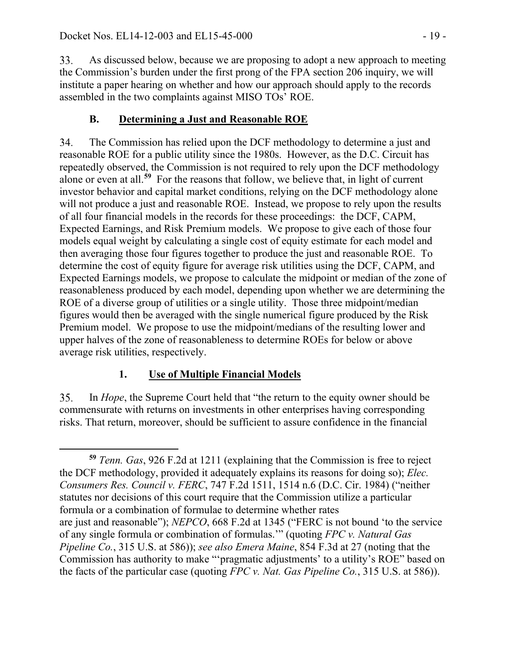33. As discussed below, because we are proposing to adopt a new approach to meeting the Commission's burden under the first prong of the FPA section 206 inquiry, we will institute a paper hearing on whether and how our approach should apply to the records assembled in the two complaints against MISO TOs' ROE.

# **B. Determining a Just and Reasonable ROE**

34. The Commission has relied upon the DCF methodology to determine a just and reasonable ROE for a public utility since the 1980s. However, as the D.C. Circuit has repeatedly observed, the Commission is not required to rely upon the DCF methodology alone or even at all.**[59](#page-18-0)** For the reasons that follow, we believe that, in light of current investor behavior and capital market conditions, relying on the DCF methodology alone will not produce a just and reasonable ROE. Instead, we propose to rely upon the results of all four financial models in the records for these proceedings: the DCF, CAPM, Expected Earnings, and Risk Premium models. We propose to give each of those four models equal weight by calculating a single cost of equity estimate for each model and then averaging those four figures together to produce the just and reasonable ROE. To determine the cost of equity figure for average risk utilities using the DCF, CAPM, and Expected Earnings models, we propose to calculate the midpoint or median of the zone of reasonableness produced by each model, depending upon whether we are determining the ROE of a diverse group of utilities or a single utility. Those three midpoint/median figures would then be averaged with the single numerical figure produced by the Risk Premium model. We propose to use the midpoint/medians of the resulting lower and upper halves of the zone of reasonableness to determine ROEs for below or above average risk utilities, respectively.

# **1. Use of Multiple Financial Models**

35. In *Hope*, the Supreme Court held that "the return to the equity owner should be commensurate with returns on investments in other enterprises having corresponding risks. That return, moreover, should be sufficient to assure confidence in the financial

<span id="page-18-0"></span> $\overline{a}$ **<sup>59</sup>** *Tenn. Gas*, 926 F.2d at 1211 (explaining that the Commission is free to reject the DCF methodology, provided it adequately explains its reasons for doing so); *Elec. Consumers Res. Council v. FERC*, 747 F.2d 1511, 1514 n.6 (D.C. Cir. 1984) ("neither statutes nor decisions of this court require that the Commission utilize a particular formula or a combination of formulae to determine whether rates are just and reasonable"); *NEPCO*, 668 F.2d at 1345 ("FERC is not bound 'to the service of any single formula or combination of formulas.'" (quoting *FPC v. Natural Gas Pipeline Co.*, 315 U.S. at 586)); *see also Emera Maine*, 854 F.3d at 27 (noting that the Commission has authority to make "'pragmatic adjustments' to a utility's ROE" based on the facts of the particular case (quoting *FPC v. Nat. Gas Pipeline Co.*, 315 U.S. at 586)).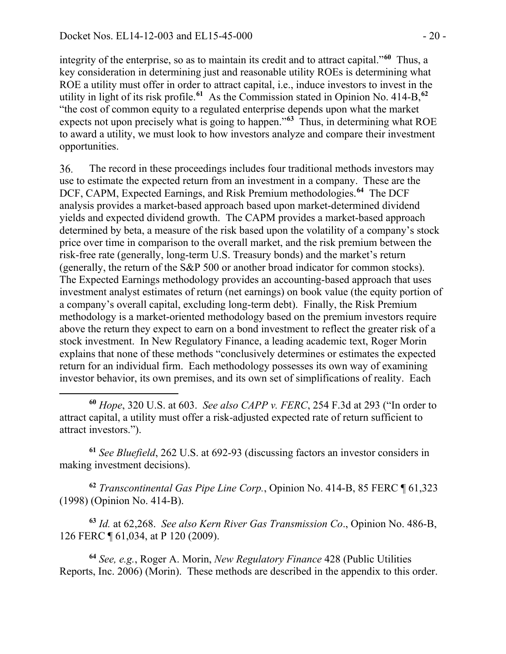integrity of the enterprise, so as to maintain its credit and to attract capital."**[60](#page-19-0)** Thus, a key consideration in determining just and reasonable utility ROEs is determining what ROE a utility must offer in order to attract capital, i.e., induce investors to invest in the utility in light of its risk profile.**[61](#page-19-1)** As the Commission stated in Opinion No. 414-B,**[62](#page-19-2)** "the cost of common equity to a regulated enterprise depends upon what the market expects not upon precisely what is going to happen."**[63](#page-19-3)** Thus, in determining what ROE to award a utility, we must look to how investors analyze and compare their investment opportunities.

36. The record in these proceedings includes four traditional methods investors may use to estimate the expected return from an investment in a company. These are the DCF, CAPM, Expected Earnings, and Risk Premium methodologies.**[64](#page-19-4)** The DCF analysis provides a market-based approach based upon market-determined dividend yields and expected dividend growth. The CAPM provides a market-based approach determined by beta, a measure of the risk based upon the volatility of a company's stock price over time in comparison to the overall market, and the risk premium between the risk-free rate (generally, long-term U.S. Treasury bonds) and the market's return (generally, the return of the S&P 500 or another broad indicator for common stocks). The Expected Earnings methodology provides an accounting-based approach that uses investment analyst estimates of return (net earnings) on book value (the equity portion of a company's overall capital, excluding long-term debt). Finally, the Risk Premium methodology is a market-oriented methodology based on the premium investors require above the return they expect to earn on a bond investment to reflect the greater risk of a stock investment. In New Regulatory Finance, a leading academic text, Roger Morin explains that none of these methods "conclusively determines or estimates the expected return for an individual firm. Each methodology possesses its own way of examining investor behavior, its own premises, and its own set of simplifications of reality. Each

<span id="page-19-0"></span> $\overline{a}$ **<sup>60</sup>** *Hope*, 320 U.S. at 603. *See also CAPP v. FERC*, 254 F.3d at 293 ("In order to attract capital, a utility must offer a risk-adjusted expected rate of return sufficient to attract investors.").

<span id="page-19-1"></span>**<sup>61</sup>** *See Bluefield*, 262 U.S. at 692-93 (discussing factors an investor considers in making investment decisions).

<span id="page-19-2"></span>**<sup>62</sup>** *Transcontinental Gas Pipe Line Corp.*, Opinion No. 414-B, 85 FERC ¶ 61,323 (1998) (Opinion No. 414-B).

<span id="page-19-3"></span>**<sup>63</sup>** *Id.* at 62,268. *See also Kern River Gas Transmission Co*., Opinion No. 486-B, 126 FERC ¶ 61,034, at P 120 (2009).

<span id="page-19-4"></span>**<sup>64</sup>** *See, e.g.*, Roger A. Morin, *New Regulatory Finance* 428 (Public Utilities Reports, Inc. 2006) (Morin). These methods are described in the appendix to this order.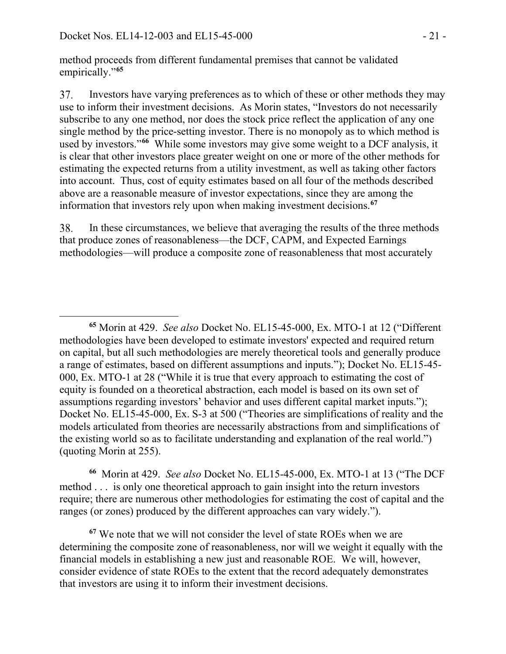method proceeds from different fundamental premises that cannot be validated empirically."**[65](#page-20-0)**

Investors have varying preferences as to which of these or other methods they may 37. use to inform their investment decisions. As Morin states, "Investors do not necessarily subscribe to any one method, nor does the stock price reflect the application of any one single method by the price-setting investor. There is no monopoly as to which method is used by investors."**[66](#page-20-1)** While some investors may give some weight to a DCF analysis, it is clear that other investors place greater weight on one or more of the other methods for estimating the expected returns from a utility investment, as well as taking other factors into account. Thus, cost of equity estimates based on all four of the methods described above are a reasonable measure of investor expectations, since they are among the information that investors rely upon when making investment decisions.**[67](#page-20-2)**

38. In these circumstances, we believe that averaging the results of the three methods that produce zones of reasonableness—the DCF, CAPM, and Expected Earnings methodologies—will produce a composite zone of reasonableness that most accurately

<span id="page-20-1"></span>**<sup>66</sup>** Morin at 429. *See also* Docket No. EL15-45-000, Ex. MTO-1 at 13 ("The DCF method . . . is only one theoretical approach to gain insight into the return investors require; there are numerous other methodologies for estimating the cost of capital and the ranges (or zones) produced by the different approaches can vary widely.").

<span id="page-20-2"></span>**<sup>67</sup>** We note that we will not consider the level of state ROEs when we are determining the composite zone of reasonableness, nor will we weight it equally with the financial models in establishing a new just and reasonable ROE. We will, however, consider evidence of state ROEs to the extent that the record adequately demonstrates that investors are using it to inform their investment decisions.

<span id="page-20-0"></span>**<sup>65</sup>** Morin at 429. *See also* Docket No. EL15-45-000, Ex. MTO-1 at 12 ("Different methodologies have been developed to estimate investors' expected and required return on capital, but all such methodologies are merely theoretical tools and generally produce a range of estimates, based on different assumptions and inputs."); Docket No. EL15-45- 000, Ex. MTO-1 at 28 ("While it is true that every approach to estimating the cost of equity is founded on a theoretical abstraction, each model is based on its own set of assumptions regarding investors' behavior and uses different capital market inputs."); Docket No. EL15-45-000, Ex. S-3 at 500 ("Theories are simplifications of reality and the models articulated from theories are necessarily abstractions from and simplifications of the existing world so as to facilitate understanding and explanation of the real world.") (quoting Morin at 255).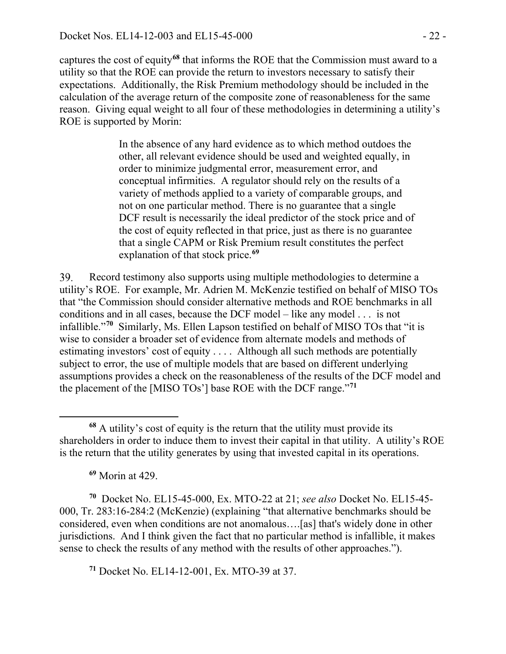captures the cost of equity**[68](#page-21-0)** that informs the ROE that the Commission must award to a utility so that the ROE can provide the return to investors necessary to satisfy their expectations. Additionally, the Risk Premium methodology should be included in the calculation of the average return of the composite zone of reasonableness for the same reason. Giving equal weight to all four of these methodologies in determining a utility's ROE is supported by Morin:

> In the absence of any hard evidence as to which method outdoes the other, all relevant evidence should be used and weighted equally, in order to minimize judgmental error, measurement error, and conceptual infirmities. A regulator should rely on the results of a variety of methods applied to a variety of comparable groups, and not on one particular method. There is no guarantee that a single DCF result is necessarily the ideal predictor of the stock price and of the cost of equity reflected in that price, just as there is no guarantee that a single CAPM or Risk Premium result constitutes the perfect explanation of that stock price.**[69](#page-21-1)**

39. Record testimony also supports using multiple methodologies to determine a utility's ROE. For example, Mr. Adrien M. McKenzie testified on behalf of MISO TOs that "the Commission should consider alternative methods and ROE benchmarks in all conditions and in all cases, because the DCF model – like any model . . . is not infallible."**[70](#page-21-2)** Similarly, Ms. Ellen Lapson testified on behalf of MISO TOs that "it is wise to consider a broader set of evidence from alternate models and methods of estimating investors' cost of equity . . . . Although all such methods are potentially subject to error, the use of multiple models that are based on different underlying assumptions provides a check on the reasonableness of the results of the DCF model and the placement of the [MISO TOs'] base ROE with the DCF range."**[71](#page-21-3)**

**<sup>69</sup>** Morin at 429.

<span id="page-21-2"></span><span id="page-21-1"></span>**<sup>70</sup>** Docket No. EL15-45-000, Ex. MTO-22 at 21; *see also* Docket No. EL15-45- 000, Tr. 283:16-284:2 (McKenzie) (explaining "that alternative benchmarks should be considered, even when conditions are not anomalous….[as] that's widely done in other jurisdictions. And I think given the fact that no particular method is infallible, it makes sense to check the results of any method with the results of other approaches.").

<span id="page-21-3"></span>**<sup>71</sup>** Docket No. EL14-12-001, Ex. MTO-39 at 37.

<span id="page-21-0"></span> $\overline{a}$ **<sup>68</sup>** A utility's cost of equity is the return that the utility must provide its shareholders in order to induce them to invest their capital in that utility. A utility's ROE is the return that the utility generates by using that invested capital in its operations.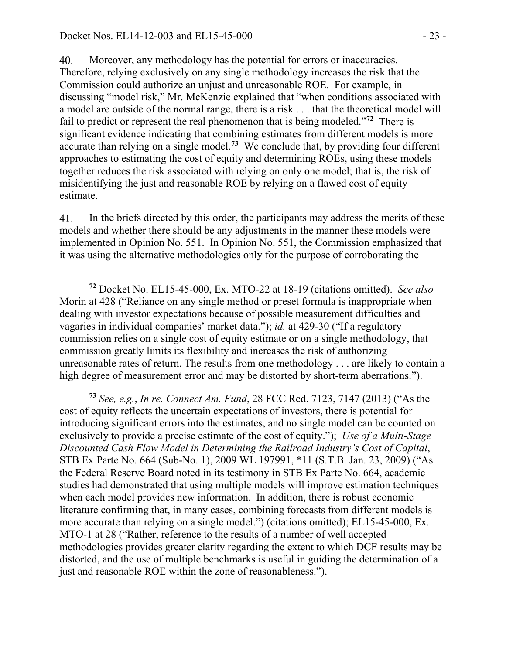Moreover, any methodology has the potential for errors or inaccuracies. 40. Therefore, relying exclusively on any single methodology increases the risk that the Commission could authorize an unjust and unreasonable ROE. For example, in discussing "model risk," Mr. McKenzie explained that "when conditions associated with a model are outside of the normal range, there is a risk . . . that the theoretical model will fail to predict or represent the real phenomenon that is being modeled."**[72](#page-22-0)** There is significant evidence indicating that combining estimates from different models is more accurate than relying on a single model.**[73](#page-22-1)** We conclude that, by providing four different approaches to estimating the cost of equity and determining ROEs, using these models together reduces the risk associated with relying on only one model; that is, the risk of misidentifying the just and reasonable ROE by relying on a flawed cost of equity estimate.

41. In the briefs directed by this order, the participants may address the merits of these models and whether there should be any adjustments in the manner these models were implemented in Opinion No. 551. In Opinion No. 551, the Commission emphasized that it was using the alternative methodologies only for the purpose of corroborating the

<span id="page-22-1"></span>**<sup>73</sup>** *See, e.g.*, *In re. Connect Am. Fund*, 28 FCC Rcd. 7123, 7147 (2013) ("As the cost of equity reflects the uncertain expectations of investors, there is potential for introducing significant errors into the estimates, and no single model can be counted on exclusively to provide a precise estimate of the cost of equity."); *Use of a Multi-Stage Discounted Cash Flow Model in Determining the Railroad Industry's Cost of Capital*, STB Ex Parte No. 664 (Sub-No. 1), 2009 WL 197991, \*11 (S.T.B. Jan. 23, 2009) ("As the Federal Reserve Board noted in its testimony in STB Ex Parte No. 664, academic studies had demonstrated that using multiple models will improve estimation techniques when each model provides new information. In addition, there is robust economic literature confirming that, in many cases, combining forecasts from different models is more accurate than relying on a single model.") (citations omitted); EL15-45-000, Ex. MTO-1 at 28 ("Rather, reference to the results of a number of well accepted methodologies provides greater clarity regarding the extent to which DCF results may be distorted, and the use of multiple benchmarks is useful in guiding the determination of a just and reasonable ROE within the zone of reasonableness.").

<span id="page-22-0"></span>**<sup>72</sup>** Docket No. EL15-45-000, Ex. MTO-22 at 18-19 (citations omitted). *See also*  Morin at 428 ("Reliance on any single method or preset formula is inappropriate when dealing with investor expectations because of possible measurement difficulties and vagaries in individual companies' market data."); *id.* at 429-30 ("If a regulatory commission relies on a single cost of equity estimate or on a single methodology, that commission greatly limits its flexibility and increases the risk of authorizing unreasonable rates of return. The results from one methodology . . . are likely to contain a high degree of measurement error and may be distorted by short-term aberrations.").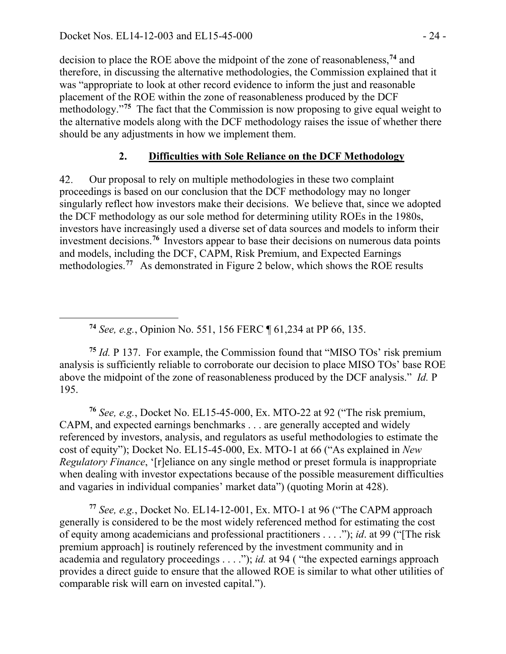decision to place the ROE above the midpoint of the zone of reasonableness,**[74](#page-23-0)** and therefore, in discussing the alternative methodologies, the Commission explained that it was "appropriate to look at other record evidence to inform the just and reasonable placement of the ROE within the zone of reasonableness produced by the DCF methodology.<sup>"[75](#page-23-1)</sup> The fact that the Commission is now proposing to give equal weight to the alternative models along with the DCF methodology raises the issue of whether there should be any adjustments in how we implement them.

## **2. Difficulties with Sole Reliance on the DCF Methodology**

42. Our proposal to rely on multiple methodologies in these two complaint proceedings is based on our conclusion that the DCF methodology may no longer singularly reflect how investors make their decisions. We believe that, since we adopted the DCF methodology as our sole method for determining utility ROEs in the 1980s, investors have increasingly used a diverse set of data sources and models to inform their investment decisions.**[76](#page-23-2)** Investors appear to base their decisions on numerous data points and models, including the DCF, CAPM, Risk Premium, and Expected Earnings methodologies.**[77](#page-23-3)** As demonstrated in Figure 2 below, which shows the ROE results

**<sup>74</sup>** *See, e.g.*, Opinion No. 551, 156 FERC ¶ 61,234 at PP 66, 135.

<span id="page-23-1"></span><span id="page-23-0"></span>**<sup>75</sup>** *Id.* P 137. For example, the Commission found that "MISO TOs' risk premium analysis is sufficiently reliable to corroborate our decision to place MISO TOs' base ROE above the midpoint of the zone of reasonableness produced by the DCF analysis." *Id.* P 195.

<span id="page-23-2"></span>**<sup>76</sup>** *See, e.g.*, Docket No. EL15-45-000, Ex. MTO-22 at 92 ("The risk premium, CAPM, and expected earnings benchmarks . . . are generally accepted and widely referenced by investors, analysis, and regulators as useful methodologies to estimate the cost of equity"); Docket No. EL15-45-000, Ex. MTO-1 at 66 ("As explained in *New Regulatory Finance*, '[r]eliance on any single method or preset formula is inappropriate when dealing with investor expectations because of the possible measurement difficulties and vagaries in individual companies' market data") (quoting Morin at 428).

<span id="page-23-3"></span>**<sup>77</sup>** *See, e.g.*, Docket No. EL14-12-001, Ex. MTO-1 at 96 ("The CAPM approach generally is considered to be the most widely referenced method for estimating the cost of equity among academicians and professional practitioners . . . ."); *id*. at 99 ("[The risk premium approach] is routinely referenced by the investment community and in academia and regulatory proceedings . . . ."); *id.* at 94 ( "the expected earnings approach provides a direct guide to ensure that the allowed ROE is similar to what other utilities of comparable risk will earn on invested capital.").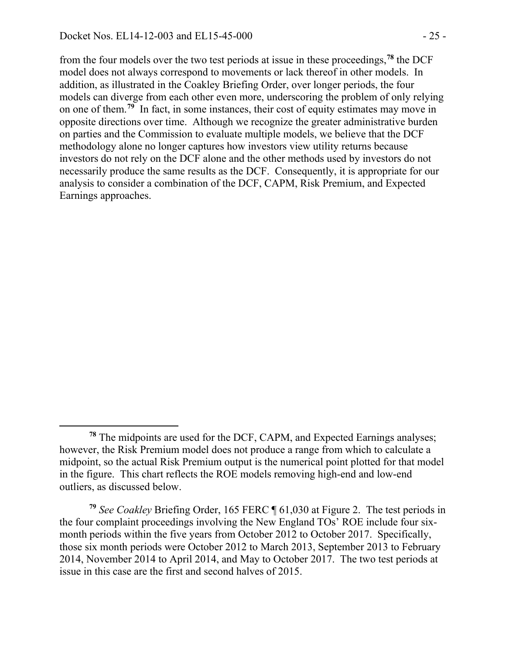from the four models over the two test periods at issue in these proceedings, **[78](#page-24-0)** the DCF model does not always correspond to movements or lack thereof in other models. In addition, as illustrated in the Coakley Briefing Order, over longer periods, the four models can diverge from each other even more, underscoring the problem of only relying on one of them.**[79](#page-24-1)** In fact, in some instances, their cost of equity estimates may move in opposite directions over time. Although we recognize the greater administrative burden on parties and the Commission to evaluate multiple models, we believe that the DCF methodology alone no longer captures how investors view utility returns because investors do not rely on the DCF alone and the other methods used by investors do not necessarily produce the same results as the DCF. Consequently, it is appropriate for our analysis to consider a combination of the DCF, CAPM, Risk Premium, and Expected Earnings approaches.

<span id="page-24-0"></span>**<sup>78</sup>** The midpoints are used for the DCF, CAPM, and Expected Earnings analyses; however, the Risk Premium model does not produce a range from which to calculate a midpoint, so the actual Risk Premium output is the numerical point plotted for that model in the figure. This chart reflects the ROE models removing high-end and low-end outliers, as discussed below.

<span id="page-24-1"></span>**<sup>79</sup>** *See Coakley* Briefing Order, 165 FERC ¶ 61,030 at Figure 2. The test periods in the four complaint proceedings involving the New England TOs' ROE include four sixmonth periods within the five years from October 2012 to October 2017. Specifically, those six month periods were October 2012 to March 2013, September 2013 to February 2014, November 2014 to April 2014, and May to October 2017. The two test periods at issue in this case are the first and second halves of 2015.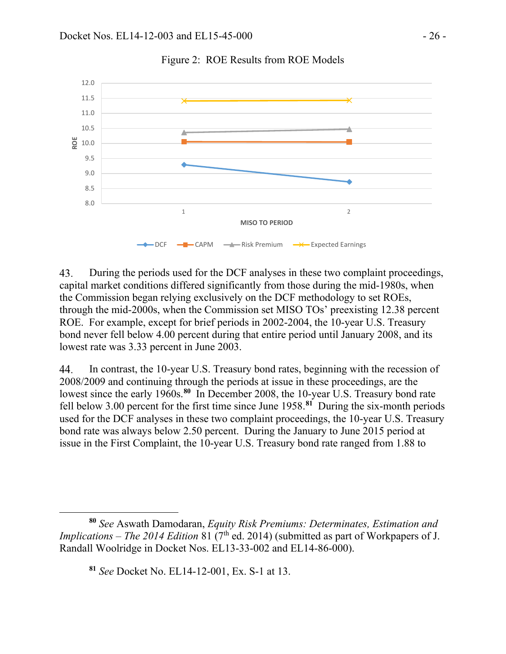

Figure 2: ROE Results from ROE Models

43. During the periods used for the DCF analyses in these two complaint proceedings, capital market conditions differed significantly from those during the mid-1980s, when the Commission began relying exclusively on the DCF methodology to set ROEs, through the mid-2000s, when the Commission set MISO TOs' preexisting 12.38 percent ROE. For example, except for brief periods in 2002-2004, the 10-year U.S. Treasury bond never fell below 4.00 percent during that entire period until January 2008, and its lowest rate was 3.33 percent in June 2003.

44. In contrast, the 10-year U.S. Treasury bond rates, beginning with the recession of 2008/2009 and continuing through the periods at issue in these proceedings, are the lowest since the early 1960s.<sup>[80](#page-25-0)</sup> In December 2008, the 10-year U.S. Treasury bond rate fell below 3.00 percent for the first time since June 1958.**[81](#page-25-1)** During the six-month periods used for the DCF analyses in these two complaint proceedings, the 10-year U.S. Treasury bond rate was always below 2.50 percent. During the January to June 2015 period at issue in the First Complaint, the 10-year U.S. Treasury bond rate ranged from 1.88 to

 $\overline{a}$ 

<span id="page-25-1"></span><span id="page-25-0"></span>**<sup>80</sup>** *See* Aswath Damodaran, *Equity Risk Premiums: Determinates, Estimation and Implications – The 2014 Edition* 81 (7<sup>th</sup> ed. 2014) (submitted as part of Workpapers of J. Randall Woolridge in Docket Nos. EL13-33-002 and EL14-86-000).

**<sup>81</sup>** *See* Docket No. EL14-12-001, Ex. S-1 at 13.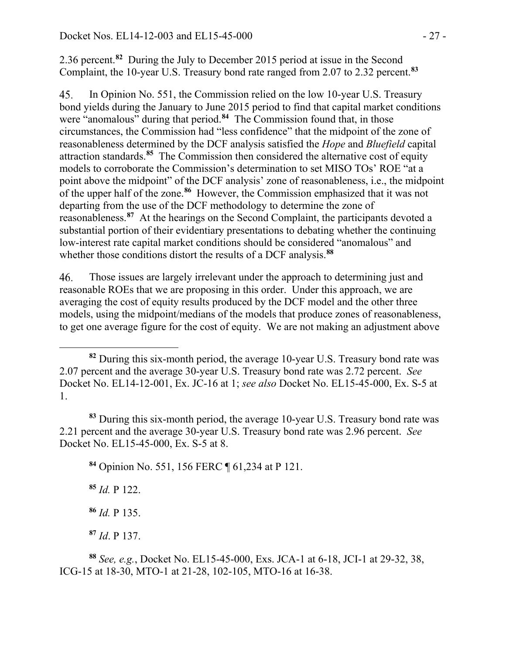2.36 percent.**[82](#page-26-0)** During the July to December 2015 period at issue in the Second Complaint, the 10-year U.S. Treasury bond rate ranged from 2.07 to 2.32 percent.**[83](#page-26-1)**

In Opinion No. 551, the Commission relied on the low 10-year U.S. Treasury 45. bond yields during the January to June 2015 period to find that capital market conditions were "anomalous" during that period.**[84](#page-26-2)** The Commission found that, in those circumstances, the Commission had "less confidence" that the midpoint of the zone of reasonableness determined by the DCF analysis satisfied the *Hope* and *Bluefield* capital attraction standards.**[85](#page-26-3)** The Commission then considered the alternative cost of equity models to corroborate the Commission's determination to set MISO TOs' ROE "at a point above the midpoint" of the DCF analysis' zone of reasonableness, i.e., the midpoint of the upper half of the zone.**[86](#page-26-4)** However, the Commission emphasized that it was not departing from the use of the DCF methodology to determine the zone of reasonableness.**[87](#page-26-5)** At the hearings on the Second Complaint, the participants devoted a substantial portion of their evidentiary presentations to debating whether the continuing low-interest rate capital market conditions should be considered "anomalous" and whether those conditions distort the results of a DCF analysis.**[88](#page-26-6)**

46. Those issues are largely irrelevant under the approach to determining just and reasonable ROEs that we are proposing in this order. Under this approach, we are averaging the cost of equity results produced by the DCF model and the other three models, using the midpoint/medians of the models that produce zones of reasonableness, to get one average figure for the cost of equity. We are not making an adjustment above

<span id="page-26-2"></span><span id="page-26-1"></span>**<sup>83</sup>** During this six-month period, the average 10-year U.S. Treasury bond rate was 2.21 percent and the average 30-year U.S. Treasury bond rate was 2.96 percent. *See* Docket No. EL15-45-000, Ex. S-5 at 8.

**<sup>84</sup>** Opinion No. 551, 156 FERC ¶ 61,234 at P 121.

<span id="page-26-3"></span>**<sup>85</sup>** *Id.* P 122.

 $\overline{a}$ 

**<sup>86</sup>** *Id.* P 135.

**<sup>87</sup>** *Id*. P 137.

<span id="page-26-6"></span><span id="page-26-5"></span><span id="page-26-4"></span>**<sup>88</sup>** *See, e.g.*, Docket No. EL15-45-000, Exs. JCA-1 at 6-18, JCI-1 at 29-32, 38, ICG-15 at 18-30, MTO-1 at 21-28, 102-105, MTO-16 at 16-38.

<span id="page-26-0"></span>**<sup>82</sup>** During this six-month period, the average 10-year U.S. Treasury bond rate was 2.07 percent and the average 30-year U.S. Treasury bond rate was 2.72 percent. *See*  Docket No. EL14-12-001, Ex. JC-16 at 1; *see also* Docket No. EL15-45-000, Ex. S-5 at 1.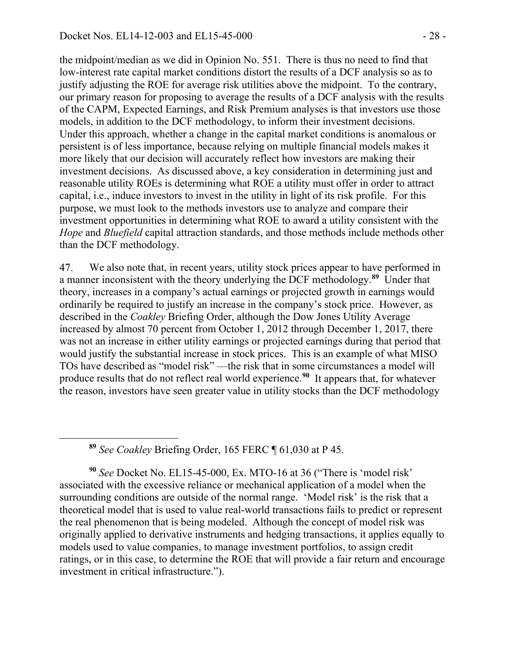the midpoint/median as we did in Opinion No. 551. There is thus no need to find that low-interest rate capital market conditions distort the results of a DCF analysis so as to justify adjusting the ROE for average risk utilities above the midpoint. To the contrary, our primary reason for proposing to average the results of a DCF analysis with the results of the CAPM, Expected Earnings, and Risk Premium analyses is that investors use those models, in addition to the DCF methodology, to inform their investment decisions. Under this approach, whether a change in the capital market conditions is anomalous or persistent is of less importance, because relying on multiple financial models makes it more likely that our decision will accurately reflect how investors are making their investment decisions. As discussed above, a key consideration in determining just and reasonable utility ROEs is determining what ROE a utility must offer in order to attract capital, i.e., induce investors to invest in the utility in light of its risk profile. For this purpose, we must look to the methods investors use to analyze and compare their investment opportunities in determining what ROE to award a utility consistent with the *Hope* and *Bluefield* capital attraction standards, and those methods include methods other than the DCF methodology.

47. We also note that, in recent years, utility stock prices appear to have performed in a manner inconsistent with the theory underlying the DCF methodology. **[89](#page-27-0)** Under that theory, increases in a company's actual earnings or projected growth in earnings would ordinarily be required to justify an increase in the company's stock price. However, as described in the *Coakley* Briefing Order, although the Dow Jones Utility Average increased by almost 70 percent from October 1, 2012 through December 1, 2017, there was not an increase in either utility earnings or projected earnings during that period that would justify the substantial increase in stock prices. This is an example of what MISO TOs have described as "model risk" —the risk that in some circumstances a model will produce results that do not reflect real world experience.**[90](#page-27-1)** It appears that, for whatever the reason, investors have seen greater value in utility stocks than the DCF methodology

**<sup>89</sup>** *See Coakley* Briefing Order, 165 FERC ¶ 61,030 at P 45.

<span id="page-27-0"></span> $\overline{a}$ 

<span id="page-27-1"></span>**<sup>90</sup>** *See* Docket No. EL15-45-000, Ex. MTO-16 at 36 ("There is 'model risk' associated with the excessive reliance or mechanical application of a model when the surrounding conditions are outside of the normal range. 'Model risk' is the risk that a theoretical model that is used to value real-world transactions fails to predict or represent the real phenomenon that is being modeled. Although the concept of model risk was originally applied to derivative instruments and hedging transactions, it applies equally to models used to value companies, to manage investment portfolios, to assign credit ratings, or in this case, to determine the ROE that will provide a fair return and encourage investment in critical infrastructure.").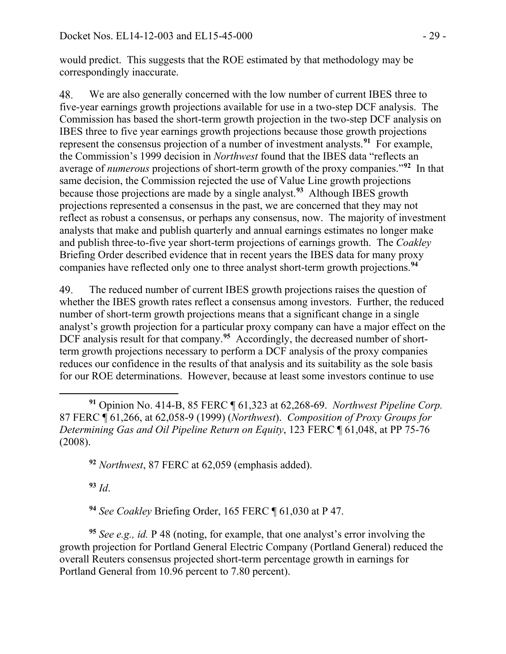would predict. This suggests that the ROE estimated by that methodology may be correspondingly inaccurate.

48. We are also generally concerned with the low number of current IBES three to five-year earnings growth projections available for use in a two-step DCF analysis. The Commission has based the short-term growth projection in the two-step DCF analysis on IBES three to five year earnings growth projections because those growth projections represent the consensus projection of a number of investment analysts.**[91](#page-28-0)** For example, the Commission's 1999 decision in *Northwest* found that the IBES data "reflects an average of *numerous* projections of short-term growth of the proxy companies."**[92](#page-28-1)** In that same decision, the Commission rejected the use of Value Line growth projections because those projections are made by a single analyst.**[93](#page-28-2)** Although IBES growth projections represented a consensus in the past, we are concerned that they may not reflect as robust a consensus, or perhaps any consensus, now. The majority of investment analysts that make and publish quarterly and annual earnings estimates no longer make and publish three-to-five year short-term projections of earnings growth. The *Coakley* Briefing Order described evidence that in recent years the IBES data for many proxy companies have reflected only one to three analyst short-term growth projections.**[94](#page-28-3)**

The reduced number of current IBES growth projections raises the question of 49. whether the IBES growth rates reflect a consensus among investors. Further, the reduced number of short-term growth projections means that a significant change in a single analyst's growth projection for a particular proxy company can have a major effect on the DCF analysis result for that company.<sup>[95](#page-28-4)</sup> Accordingly, the decreased number of shortterm growth projections necessary to perform a DCF analysis of the proxy companies reduces our confidence in the results of that analysis and its suitability as the sole basis for our ROE determinations. However, because at least some investors continue to use

<span id="page-28-1"></span>**<sup>92</sup>** *Northwest*, 87 FERC at 62,059 (emphasis added).

**<sup>93</sup>** *Id*.

**<sup>94</sup>** *See Coakley* Briefing Order, 165 FERC ¶ 61,030 at P 47.

<span id="page-28-4"></span><span id="page-28-3"></span><span id="page-28-2"></span>**<sup>95</sup>** *See e.g., id.* P 48 (noting, for example, that one analyst's error involving the growth projection for Portland General Electric Company (Portland General) reduced the overall Reuters consensus projected short-term percentage growth in earnings for Portland General from 10.96 percent to 7.80 percent).

<span id="page-28-0"></span> $\overline{a}$ **<sup>91</sup>** Opinion No. 414-B, 85 FERC ¶ 61,323 at 62,268-69. *Northwest Pipeline Corp.*  87 FERC ¶ 61,266, at 62,058-9 (1999) (*Northwest*). *Composition of Proxy Groups for Determining Gas and Oil Pipeline Return on Equity*, 123 FERC ¶ 61,048, at PP 75-76 (2008).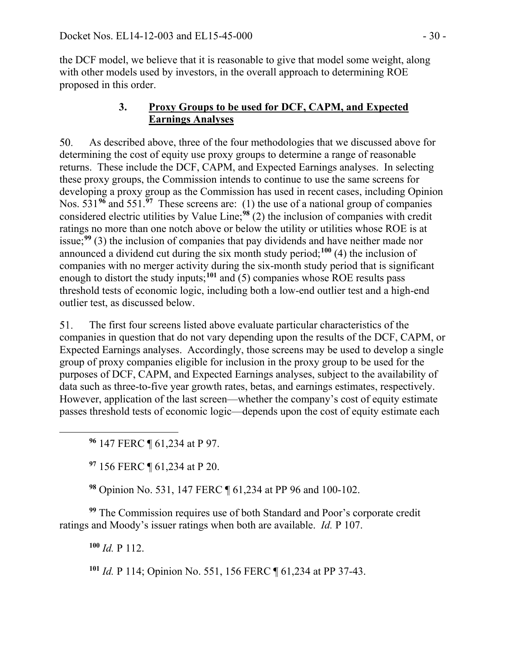the DCF model, we believe that it is reasonable to give that model some weight, along with other models used by investors, in the overall approach to determining ROE proposed in this order.

## **3. Proxy Groups to be used for DCF, CAPM, and Expected Earnings Analyses**

50. As described above, three of the four methodologies that we discussed above for determining the cost of equity use proxy groups to determine a range of reasonable returns. These include the DCF, CAPM, and Expected Earnings analyses. In selecting these proxy groups, the Commission intends to continue to use the same screens for developing a proxy group as the Commission has used in recent cases, including Opinion Nos. 531**[96](#page-29-0)** and 551.**[97](#page-29-1)** These screens are: (1) the use of a national group of companies considered electric utilities by Value Line;**[98](#page-29-2)** (2) the inclusion of companies with credit ratings no more than one notch above or below the utility or utilities whose ROE is at issue;**[99](#page-29-3)** (3) the inclusion of companies that pay dividends and have neither made nor announced a dividend cut during the six month study period;**[100](#page-29-4)** (4) the inclusion of companies with no merger activity during the six-month study period that is significant enough to distort the study inputs; $101$  and (5) companies whose ROE results pass threshold tests of economic logic, including both a low-end outlier test and a high-end outlier test, as discussed below.

51. The first four screens listed above evaluate particular characteristics of the companies in question that do not vary depending upon the results of the DCF, CAPM, or Expected Earnings analyses. Accordingly, those screens may be used to develop a single group of proxy companies eligible for inclusion in the proxy group to be used for the purposes of DCF, CAPM, and Expected Earnings analyses, subject to the availability of data such as three-to-five year growth rates, betas, and earnings estimates, respectively. However, application of the last screen—whether the company's cost of equity estimate passes threshold tests of economic logic—depends upon the cost of equity estimate each

**<sup>96</sup>** 147 FERC ¶ 61,234 at P 97.

**<sup>97</sup>** 156 FERC ¶ 61,234 at P 20.

**<sup>98</sup>** Opinion No. 531, 147 FERC ¶ 61,234 at PP 96 and 100-102.

<span id="page-29-5"></span><span id="page-29-4"></span><span id="page-29-3"></span><span id="page-29-2"></span>**<sup>99</sup>** The Commission requires use of both Standard and Poor's corporate credit ratings and Moody's issuer ratings when both are available. *Id.* P 107.

**<sup>100</sup>** *Id.* P 112.

<span id="page-29-1"></span><span id="page-29-0"></span> $\overline{a}$ 

**<sup>101</sup>** *Id.* P 114; Opinion No. 551, 156 FERC ¶ 61,234 at PP 37-43.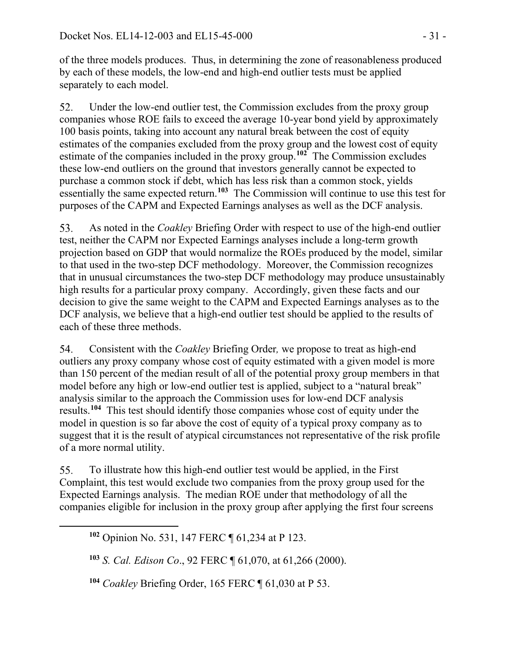of the three models produces. Thus, in determining the zone of reasonableness produced by each of these models, the low-end and high-end outlier tests must be applied separately to each model.

52. Under the low-end outlier test, the Commission excludes from the proxy group companies whose ROE fails to exceed the average 10-year bond yield by approximately 100 basis points, taking into account any natural break between the cost of equity estimates of the companies excluded from the proxy group and the lowest cost of equity estimate of the companies included in the proxy group.**[102](#page-30-0)** The Commission excludes these low-end outliers on the ground that investors generally cannot be expected to purchase a common stock if debt, which has less risk than a common stock, yields essentially the same expected return.**[103](#page-30-1)** The Commission will continue to use this test for purposes of the CAPM and Expected Earnings analyses as well as the DCF analysis.

53. As noted in the *Coakley* Briefing Order with respect to use of the high-end outlier test, neither the CAPM nor Expected Earnings analyses include a long-term growth projection based on GDP that would normalize the ROEs produced by the model, similar to that used in the two-step DCF methodology. Moreover, the Commission recognizes that in unusual circumstances the two-step DCF methodology may produce unsustainably high results for a particular proxy company. Accordingly, given these facts and our decision to give the same weight to the CAPM and Expected Earnings analyses as to the DCF analysis, we believe that a high-end outlier test should be applied to the results of each of these three methods.

Consistent with the *Coakley* Briefing Order*,* we propose to treat as high-end 54. outliers any proxy company whose cost of equity estimated with a given model is more than 150 percent of the median result of all of the potential proxy group members in that model before any high or low-end outlier test is applied, subject to a "natural break" analysis similar to the approach the Commission uses for low-end DCF analysis results.**[104](#page-30-2)** This test should identify those companies whose cost of equity under the model in question is so far above the cost of equity of a typical proxy company as to suggest that it is the result of atypical circumstances not representative of the risk profile of a more normal utility.

55. To illustrate how this high-end outlier test would be applied, in the First Complaint, this test would exclude two companies from the proxy group used for the Expected Earnings analysis. The median ROE under that methodology of all the companies eligible for inclusion in the proxy group after applying the first four screens

<span id="page-30-2"></span><span id="page-30-1"></span><span id="page-30-0"></span> $\overline{a}$ 

**<sup>104</sup>** *Coakley* Briefing Order, 165 FERC ¶ 61,030 at P 53.

**<sup>102</sup>** Opinion No. 531, 147 FERC ¶ 61,234 at P 123.

**<sup>103</sup>** *S. Cal. Edison Co*., 92 FERC ¶ 61,070, at 61,266 (2000).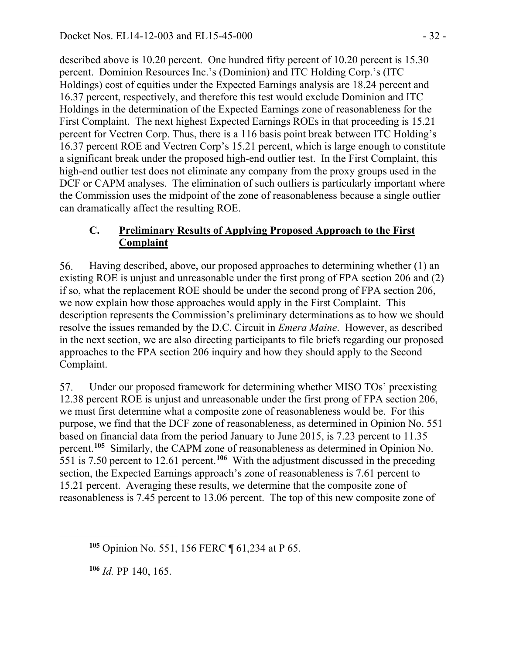described above is 10.20 percent. One hundred fifty percent of 10.20 percent is 15.30 percent. Dominion Resources Inc.'s (Dominion) and ITC Holding Corp.'s (ITC Holdings) cost of equities under the Expected Earnings analysis are 18.24 percent and 16.37 percent, respectively, and therefore this test would exclude Dominion and ITC Holdings in the determination of the Expected Earnings zone of reasonableness for the First Complaint. The next highest Expected Earnings ROEs in that proceeding is 15.21 percent for Vectren Corp. Thus, there is a 116 basis point break between ITC Holding's 16.37 percent ROE and Vectren Corp's 15.21 percent, which is large enough to constitute a significant break under the proposed high-end outlier test. In the First Complaint, this high-end outlier test does not eliminate any company from the proxy groups used in the DCF or CAPM analyses. The elimination of such outliers is particularly important where the Commission uses the midpoint of the zone of reasonableness because a single outlier can dramatically affect the resulting ROE.

### **C. Preliminary Results of Applying Proposed Approach to the First Complaint**

56. Having described, above, our proposed approaches to determining whether (1) an existing ROE is unjust and unreasonable under the first prong of FPA section 206 and (2) if so, what the replacement ROE should be under the second prong of FPA section 206, we now explain how those approaches would apply in the First Complaint. This description represents the Commission's preliminary determinations as to how we should resolve the issues remanded by the D.C. Circuit in *Emera Maine*. However, as described in the next section, we are also directing participants to file briefs regarding our proposed approaches to the FPA section 206 inquiry and how they should apply to the Second Complaint.

Under our proposed framework for determining whether MISO TOs' preexisting 57. 12.38 percent ROE is unjust and unreasonable under the first prong of FPA section 206, we must first determine what a composite zone of reasonableness would be. For this purpose, we find that the DCF zone of reasonableness, as determined in Opinion No. 551 based on financial data from the period January to June 2015, is 7.23 percent to 11.35 percent.**[105](#page-31-0)** Similarly, the CAPM zone of reasonableness as determined in Opinion No. 551 is 7.50 percent to 12.61 percent.**[106](#page-31-1)** With the adjustment discussed in the preceding section, the Expected Earnings approach's zone of reasonableness is 7.61 percent to 15.21 percent. Averaging these results, we determine that the composite zone of reasonableness is 7.45 percent to 13.06 percent. The top of this new composite zone of

**<sup>105</sup>** Opinion No. 551, 156 FERC ¶ 61,234 at P 65.

**<sup>106</sup>** *Id.* PP 140, 165.

<span id="page-31-1"></span><span id="page-31-0"></span> $\overline{a}$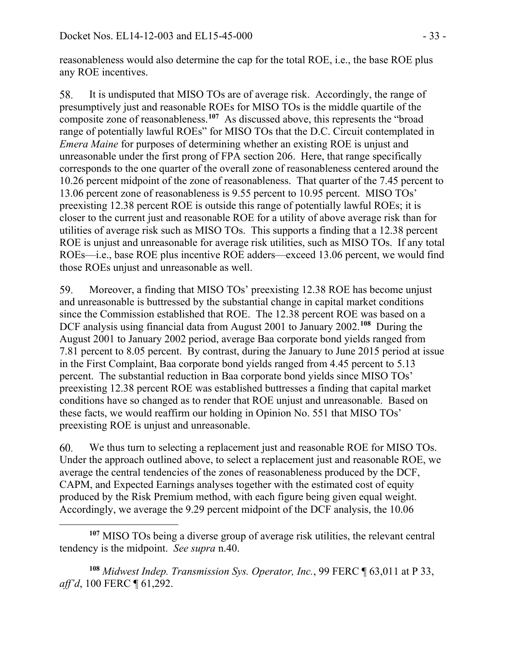reasonableness would also determine the cap for the total ROE, i.e., the base ROE plus any ROE incentives.

It is undisputed that MISO TOs are of average risk. Accordingly, the range of 58. presumptively just and reasonable ROEs for MISO TOs is the middle quartile of the composite zone of reasonableness.**[107](#page-32-0)** As discussed above, this represents the "broad range of potentially lawful ROEs" for MISO TOs that the D.C. Circuit contemplated in *Emera Maine* for purposes of determining whether an existing ROE is unjust and unreasonable under the first prong of FPA section 206. Here, that range specifically corresponds to the one quarter of the overall zone of reasonableness centered around the 10.26 percent midpoint of the zone of reasonableness. That quarter of the 7.45 percent to 13.06 percent zone of reasonableness is 9.55 percent to 10.95 percent. MISO TOs' preexisting 12.38 percent ROE is outside this range of potentially lawful ROEs; it is closer to the current just and reasonable ROE for a utility of above average risk than for utilities of average risk such as MISO TOs. This supports a finding that a 12.38 percent ROE is unjust and unreasonable for average risk utilities, such as MISO TOs. If any total ROEs—i.e., base ROE plus incentive ROE adders—exceed 13.06 percent, we would find those ROEs unjust and unreasonable as well.

59. Moreover, a finding that MISO TOs' preexisting 12.38 ROE has become unjust and unreasonable is buttressed by the substantial change in capital market conditions since the Commission established that ROE. The 12.38 percent ROE was based on a DCF analysis using financial data from August 2001 to January 2002. **[108](#page-32-1)** During the August 2001 to January 2002 period, average Baa corporate bond yields ranged from 7.81 percent to 8.05 percent. By contrast, during the January to June 2015 period at issue in the First Complaint, Baa corporate bond yields ranged from 4.45 percent to 5.13 percent. The substantial reduction in Baa corporate bond yields since MISO TOs' preexisting 12.38 percent ROE was established buttresses a finding that capital market conditions have so changed as to render that ROE unjust and unreasonable. Based on these facts, we would reaffirm our holding in Opinion No. 551 that MISO TOs' preexisting ROE is unjust and unreasonable.

We thus turn to selecting a replacement just and reasonable ROE for MISO TOs. 60. Under the approach outlined above, to select a replacement just and reasonable ROE, we average the central tendencies of the zones of reasonableness produced by the DCF, CAPM, and Expected Earnings analyses together with the estimated cost of equity produced by the Risk Premium method, with each figure being given equal weight. Accordingly, we average the 9.29 percent midpoint of the DCF analysis, the 10.06

 $\overline{a}$ 

<span id="page-32-1"></span>**<sup>108</sup>** *Midwest Indep. Transmission Sys. Operator, Inc.*, 99 FERC ¶ 63,011 at P 33, *aff'd*, 100 FERC ¶ 61,292.

<span id="page-32-0"></span>**<sup>107</sup>** MISO TOs being a diverse group of average risk utilities, the relevant central tendency is the midpoint. *See supra* n[.40.](#page-11-1)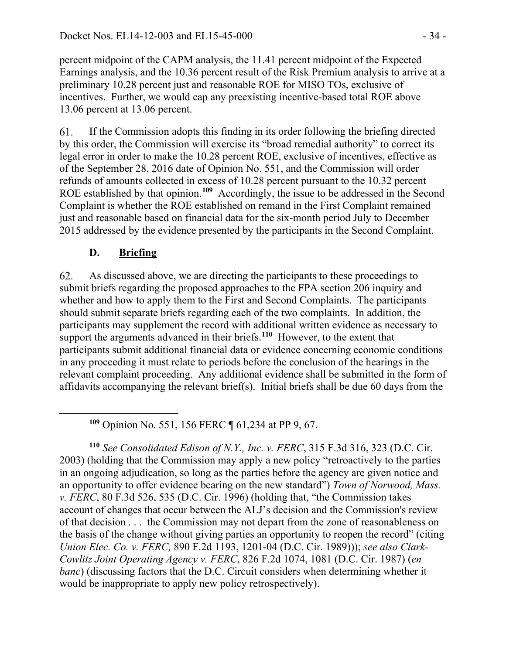percent midpoint of the CAPM analysis, the 11.41 percent midpoint of the Expected Earnings analysis, and the 10.36 percent result of the Risk Premium analysis to arrive at a preliminary 10.28 percent just and reasonable ROE for MISO TOs, exclusive of incentives. Further, we would cap any preexisting incentive-based total ROE above 13.06 percent at 13.06 percent.

61. If the Commission adopts this finding in its order following the briefing directed by this order, the Commission will exercise its "broad remedial authority" to correct its legal error in order to make the 10.28 percent ROE, exclusive of incentives, effective as of the September 28, 2016 date of Opinion No. 551, and the Commission will order refunds of amounts collected in excess of 10.28 percent pursuant to the 10.32 percent ROE established by that opinion.**[109](#page-33-0)** Accordingly, the issue to be addressed in the Second Complaint is whether the ROE established on remand in the First Complaint remained just and reasonable based on financial data for the six-month period July to December 2015 addressed by the evidence presented by the participants in the Second Complaint.

## **D. Briefing**

<span id="page-33-0"></span> $\overline{a}$ 

62. As discussed above, we are directing the participants to these proceedings to submit briefs regarding the proposed approaches to the FPA section 206 inquiry and whether and how to apply them to the First and Second Complaints. The participants should submit separate briefs regarding each of the two complaints. In addition, the participants may supplement the record with additional written evidence as necessary to support the arguments advanced in their briefs.<sup>[110](#page-33-1)</sup> However, to the extent that participants submit additional financial data or evidence concerning economic conditions in any proceeding it must relate to periods before the conclusion of the hearings in the relevant complaint proceeding. Any additional evidence shall be submitted in the form of affidavits accompanying the relevant brief(s). Initial briefs shall be due 60 days from the

**<sup>109</sup>** Opinion No. 551, 156 FERC ¶ 61,234 at PP 9, 67.

<span id="page-33-1"></span>**<sup>110</sup>** *See Consolidated Edison of N.Y., Inc. v. FERC*, 315 F.3d 316, 323 (D.C. Cir. 2003) (holding that the Commission may apply a new policy "retroactively to the parties in an ongoing adjudication, so long as the parties before the agency are given notice and an opportunity to offer evidence bearing on the new standard") *Town of Norwood, Mass. v. FERC*, 80 F.3d 526, 535 (D.C. Cir. 1996) (holding that, "the Commission takes account of changes that occur between the ALJ's decision and the Commission's review of that decision . . . the Commission may not depart from the zone of reasonableness on the basis of the change without giving parties an opportunity to reopen the record" (citing *Union Elec. Co. v. FERC,* 890 F.2d 1193, 1201-04 (D.C. Cir. 1989))); *see also Clark-Cowlitz Joint Operating Agency v. FERC*, 826 F.2d 1074, 1081 (D.C. Cir. 1987) (*en banc*) (discussing factors that the D.C. Circuit considers when determining whether it would be inappropriate to apply new policy retrospectively).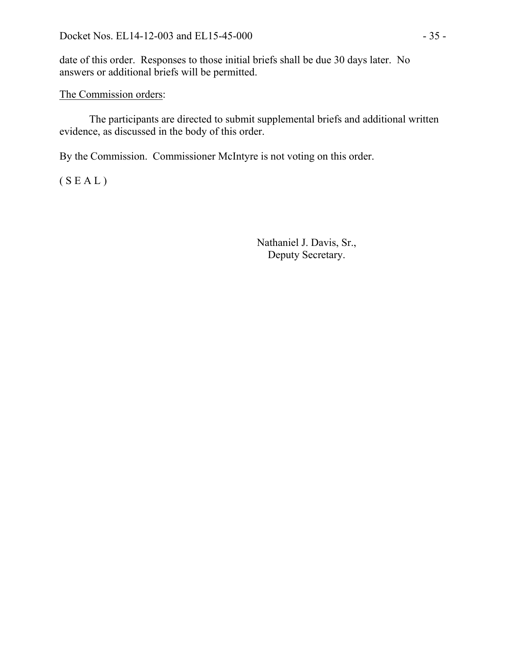date of this order. Responses to those initial briefs shall be due 30 days later. No answers or additional briefs will be permitted.

### The Commission orders:

The participants are directed to submit supplemental briefs and additional written evidence, as discussed in the body of this order.

By the Commission. Commissioner McIntyre is not voting on this order.

 $(S E A L)$ 

Nathaniel J. Davis, Sr., Deputy Secretary.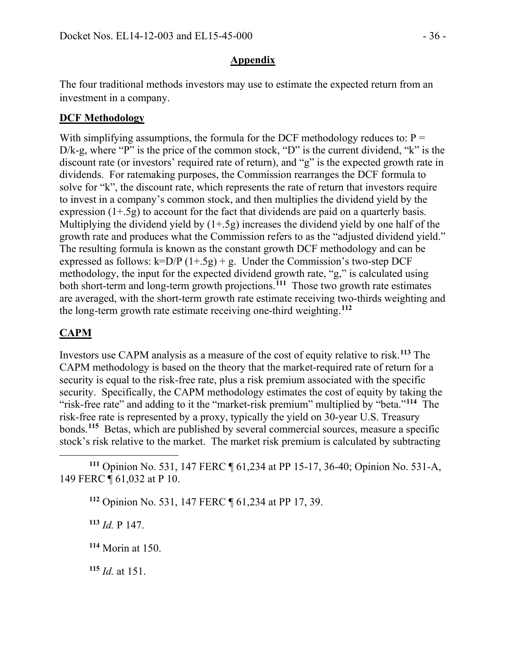### **Appendix**

The four traditional methods investors may use to estimate the expected return from an investment in a company.

### **DCF Methodology**

With simplifying assumptions, the formula for the DCF methodology reduces to:  $P =$ D/k-g, where "P" is the price of the common stock, "D" is the current dividend, "k" is the discount rate (or investors' required rate of return), and "g" is the expected growth rate in dividends. For ratemaking purposes, the Commission rearranges the DCF formula to solve for "k", the discount rate, which represents the rate of return that investors require to invest in a company's common stock, and then multiplies the dividend yield by the expression (1+.5g) to account for the fact that dividends are paid on a quarterly basis. Multiplying the dividend yield by  $(1+.5g)$  increases the dividend yield by one half of the growth rate and produces what the Commission refers to as the "adjusted dividend yield." The resulting formula is known as the constant growth DCF methodology and can be expressed as follows:  $k=D/P$  (1+.5g) + g. Under the Commission's two-step DCF methodology, the input for the expected dividend growth rate, "g," is calculated using both short-term and long-term growth projections.**[111](#page-35-0)** Those two growth rate estimates are averaged, with the short-term growth rate estimate receiving two-thirds weighting and the long-term growth rate estimate receiving one-third weighting.**[112](#page-35-1)**

## **CAPM**

Investors use CAPM analysis as a measure of the cost of equity relative to risk.**[113](#page-35-2)** The CAPM methodology is based on the theory that the market-required rate of return for a security is equal to the risk-free rate, plus a risk premium associated with the specific security. Specifically, the CAPM methodology estimates the cost of equity by taking the "risk-free rate" and adding to it the "market-risk premium" multiplied by "beta."**[114](#page-35-3)** The risk-free rate is represented by a proxy, typically the yield on 30-year U.S. Treasury bonds.**[115](#page-35-4)** Betas, which are published by several commercial sources, measure a specific stock's risk relative to the market. The market risk premium is calculated by subtracting

<span id="page-35-1"></span><span id="page-35-0"></span> $\overline{a}$ **<sup>111</sup>** Opinion No. 531, 147 FERC ¶ 61,234 at PP 15-17, 36-40; Opinion No. 531-A, 149 FERC ¶ 61,032 at P 10.

**<sup>112</sup>** Opinion No. 531, 147 FERC ¶ 61,234 at PP 17, 39.

<span id="page-35-2"></span>**<sup>113</sup>** *Id.* P 147.

<span id="page-35-3"></span>**<sup>114</sup>** Morin at 150.

<span id="page-35-4"></span>**<sup>115</sup>** *Id.* at 151.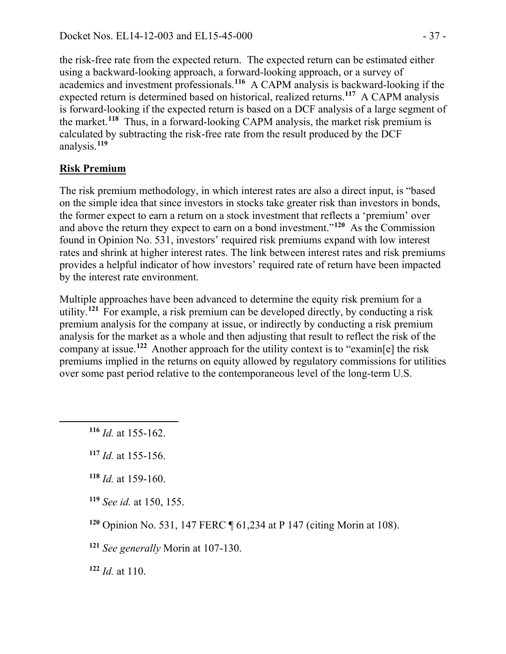the risk-free rate from the expected return. The expected return can be estimated either using a backward-looking approach, a forward-looking approach, or a survey of academics and investment professionals.**[116](#page-36-0)** A CAPM analysis is backward-looking if the expected return is determined based on historical, realized returns.**[117](#page-36-1)** A CAPM analysis is forward-looking if the expected return is based on a DCF analysis of a large segment of the market.**[118](#page-36-2)** Thus, in a forward-looking CAPM analysis, the market risk premium is calculated by subtracting the risk-free rate from the result produced by the DCF analysis.**[119](#page-36-3)**

## **Risk Premium**

The risk premium methodology, in which interest rates are also a direct input, is "based on the simple idea that since investors in stocks take greater risk than investors in bonds, the former expect to earn a return on a stock investment that reflects a 'premium' over and above the return they expect to earn on a bond investment."**[120](#page-36-4)** As the Commission found in Opinion No. 531, investors' required risk premiums expand with low interest rates and shrink at higher interest rates. The link between interest rates and risk premiums provides a helpful indicator of how investors' required rate of return have been impacted by the interest rate environment.

Multiple approaches have been advanced to determine the equity risk premium for a utility.**[121](#page-36-5)** For example, a risk premium can be developed directly, by conducting a risk premium analysis for the company at issue, or indirectly by conducting a risk premium analysis for the market as a whole and then adjusting that result to reflect the risk of the company at issue.**[122](#page-36-6)** Another approach for the utility context is to "examin[e] the risk premiums implied in the returns on equity allowed by regulatory commissions for utilities over some past period relative to the contemporaneous level of the long-term U.S.

**<sup>116</sup>** *Id.* at 155-162.

<span id="page-36-2"></span><span id="page-36-1"></span><span id="page-36-0"></span> $\overline{a}$ 

- **<sup>118</sup>** *Id.* at 159-160.
- <span id="page-36-3"></span>**<sup>119</sup>** *See id.* at 150, 155.

<span id="page-36-4"></span>**<sup>120</sup>** Opinion No. 531, 147 FERC ¶ 61,234 at P 147 (citing Morin at 108).

<span id="page-36-5"></span>**<sup>121</sup>** *See generally* Morin at 107-130.

<span id="page-36-6"></span>**<sup>122</sup>** *Id.* at 110.

**<sup>117</sup>** *Id.* at 155-156.